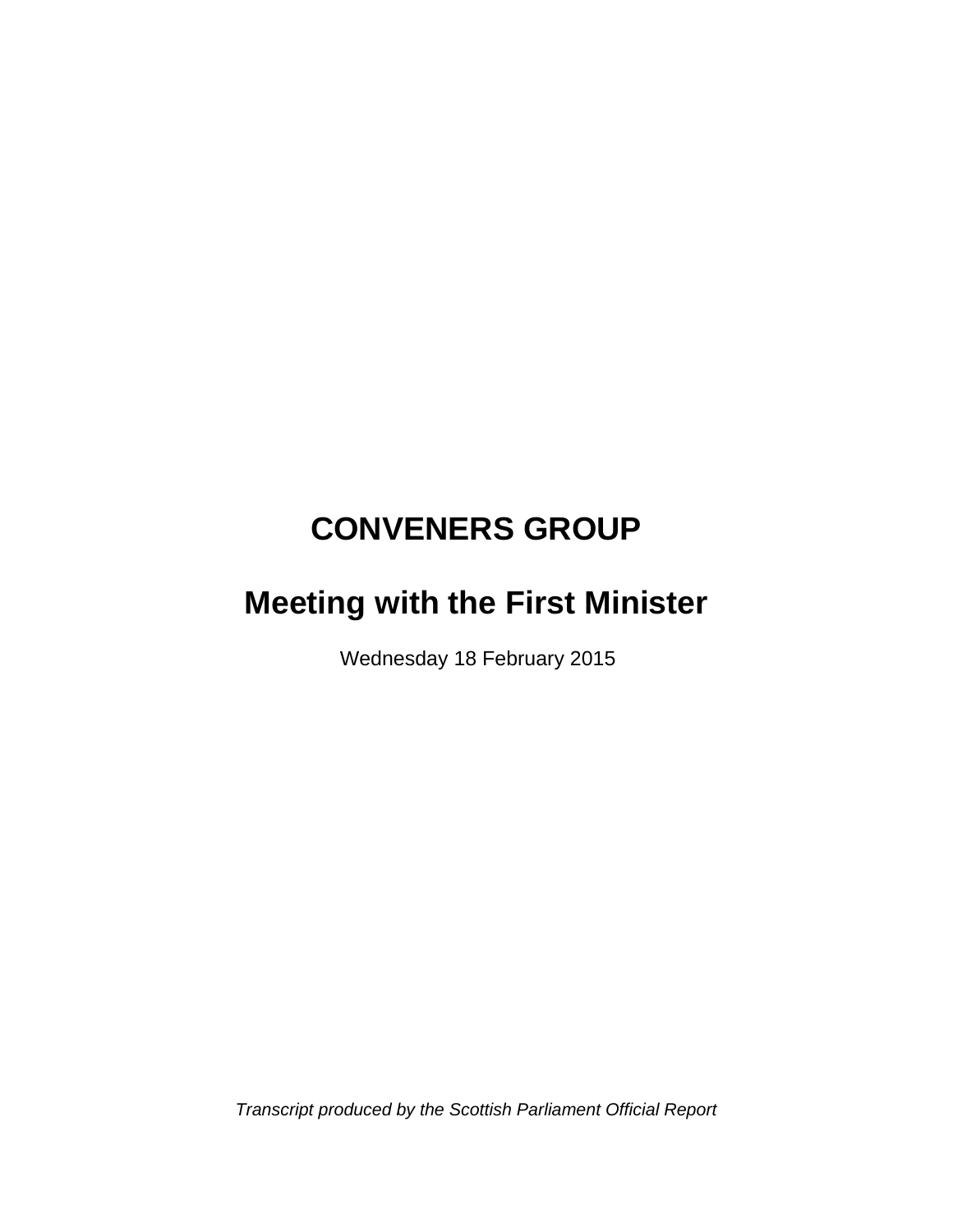# **CONVENERS GROUP**

# **Meeting with the First Minister**

Wednesday 18 February 2015

*Transcript produced by the Scottish Parliament Official Report*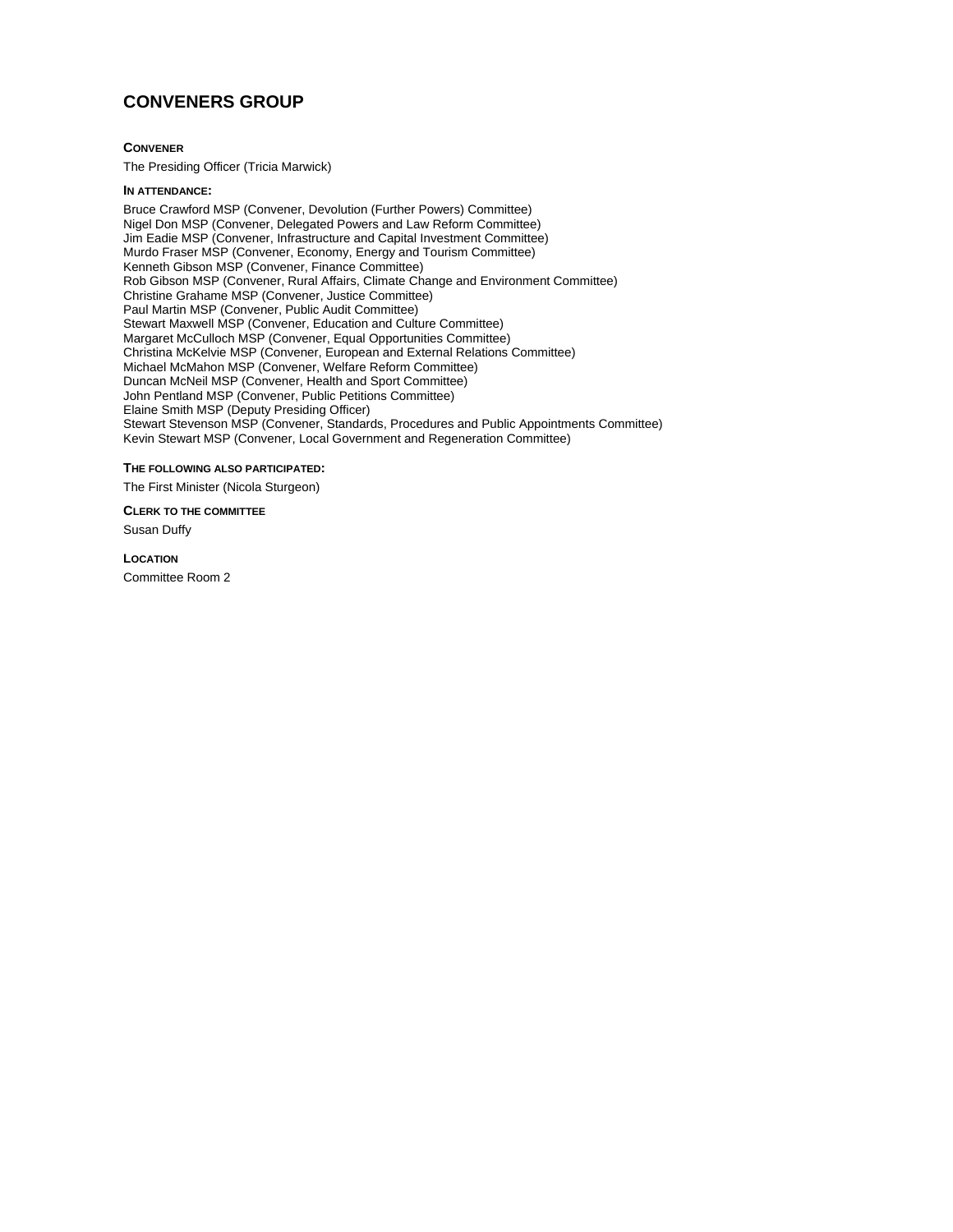### **CONVENERS GROUP**

#### **CONVENER**

The Presiding Officer (Tricia Marwick)

#### **IN ATTENDANCE:**

Bruce Crawford MSP (Convener, Devolution (Further Powers) Committee) Nigel Don MSP (Convener, Delegated Powers and Law Reform Committee) Jim Eadie MSP (Convener, Infrastructure and Capital Investment Committee) Murdo Fraser MSP (Convener, Economy, Energy and Tourism Committee) Kenneth Gibson MSP (Convener, Finance Committee) Rob Gibson MSP (Convener, Rural Affairs, Climate Change and Environment Committee) Christine Grahame MSP (Convener, Justice Committee) Paul Martin MSP (Convener, Public Audit Committee) Stewart Maxwell MSP (Convener, Education and Culture Committee) Margaret McCulloch MSP (Convener, Equal Opportunities Committee) Christina McKelvie MSP (Convener, European and External Relations Committee) Michael McMahon MSP (Convener, Welfare Reform Committee) Duncan McNeil MSP (Convener, Health and Sport Committee) John Pentland MSP (Convener, Public Petitions Committee) Elaine Smith MSP (Deputy Presiding Officer) Stewart Stevenson MSP (Convener, Standards, Procedures and Public Appointments Committee) Kevin Stewart MSP (Convener, Local Government and Regeneration Committee)

#### **THE FOLLOWING ALSO PARTICIPATED:**

The First Minister (Nicola Sturgeon)

**CLERK TO THE COMMITTEE**

Susan Duffy

#### **LOCATION**

Committee Room 2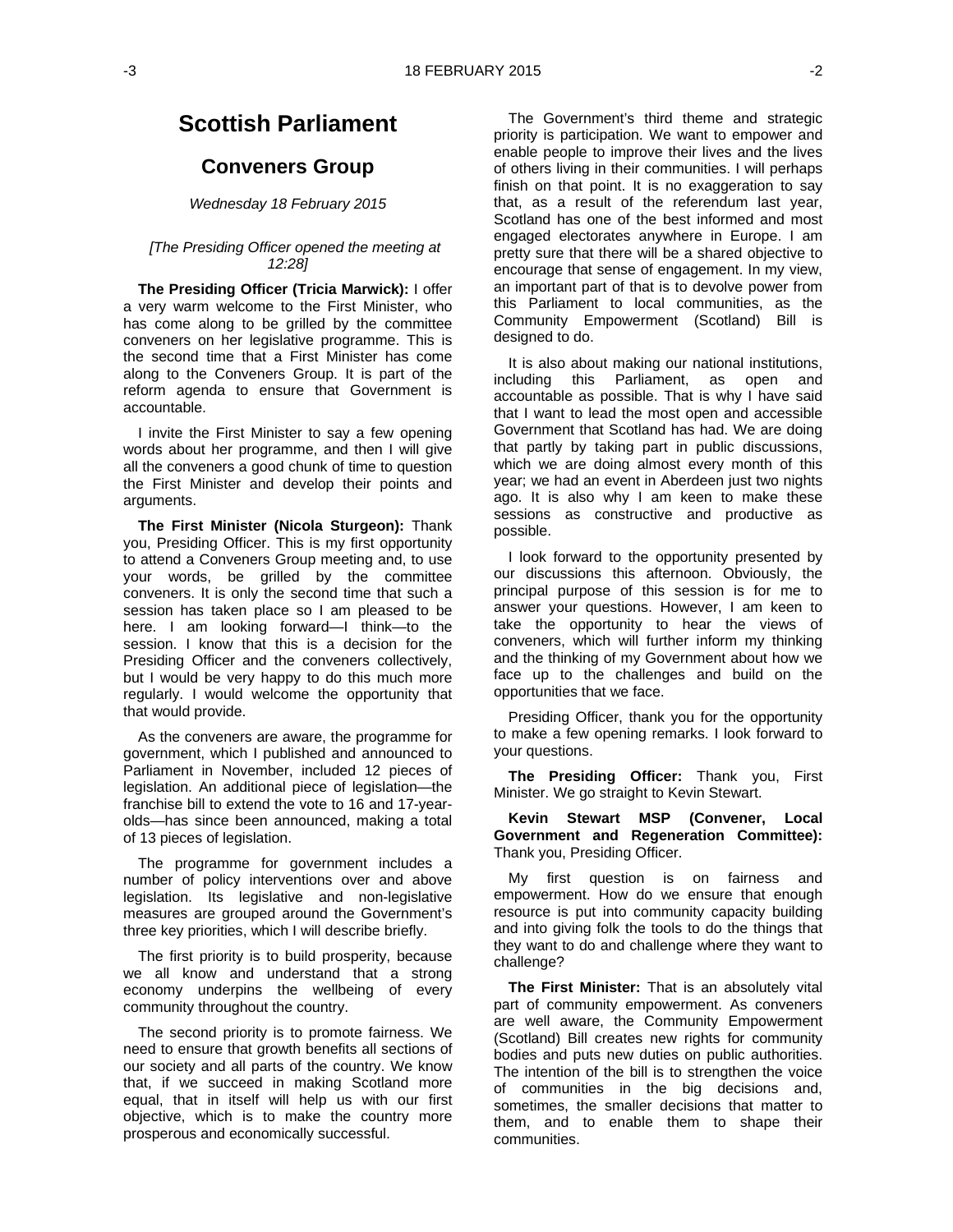## **Scottish Parliament**

### **Conveners Group**

#### *Wednesday 18 February 2015*

#### *[The Presiding Officer opened the meeting at 12:28]*

**The Presiding Officer (Tricia Marwick):** I offer a very warm welcome to the First Minister, who has come along to be grilled by the committee conveners on her legislative programme. This is the second time that a First Minister has come along to the Conveners Group. It is part of the reform agenda to ensure that Government is accountable.

I invite the First Minister to say a few opening words about her programme, and then I will give all the conveners a good chunk of time to question the First Minister and develop their points and arguments.

**The First Minister (Nicola Sturgeon):** Thank you, Presiding Officer. This is my first opportunity to attend a Conveners Group meeting and, to use your words, be grilled by the committee conveners. It is only the second time that such a session has taken place so I am pleased to be here. I am looking forward—I think—to the session. I know that this is a decision for the Presiding Officer and the conveners collectively, but I would be very happy to do this much more regularly. I would welcome the opportunity that that would provide.

As the conveners are aware, the programme for government, which I published and announced to Parliament in November, included 12 pieces of legislation. An additional piece of legislation—the franchise bill to extend the vote to 16 and 17-yearolds—has since been announced, making a total of 13 pieces of legislation.

The programme for government includes a number of policy interventions over and above legislation. Its legislative and non-legislative measures are grouped around the Government's three key priorities, which I will describe briefly.

The first priority is to build prosperity, because we all know and understand that a strong economy underpins the wellbeing of every community throughout the country.

The second priority is to promote fairness. We need to ensure that growth benefits all sections of our society and all parts of the country. We know that, if we succeed in making Scotland more equal, that in itself will help us with our first objective, which is to make the country more prosperous and economically successful.

The Government's third theme and strategic priority is participation. We want to empower and enable people to improve their lives and the lives of others living in their communities. I will perhaps finish on that point. It is no exaggeration to say that, as a result of the referendum last year, Scotland has one of the best informed and most engaged electorates anywhere in Europe. I am pretty sure that there will be a shared objective to encourage that sense of engagement. In my view, an important part of that is to devolve power from this Parliament to local communities, as the Community Empowerment (Scotland) Bill is designed to do.

It is also about making our national institutions, including this Parliament, as open and accountable as possible. That is why I have said that I want to lead the most open and accessible Government that Scotland has had. We are doing that partly by taking part in public discussions, which we are doing almost every month of this year; we had an event in Aberdeen just two nights ago. It is also why I am keen to make these sessions as constructive and productive as possible.

I look forward to the opportunity presented by our discussions this afternoon. Obviously, the principal purpose of this session is for me to answer your questions. However, I am keen to take the opportunity to hear the views of conveners, which will further inform my thinking and the thinking of my Government about how we face up to the challenges and build on the opportunities that we face.

Presiding Officer, thank you for the opportunity to make a few opening remarks. I look forward to your questions.

**The Presiding Officer:** Thank you, First Minister. We go straight to Kevin Stewart.

**Kevin Stewart MSP (Convener, Local Government and Regeneration Committee):**  Thank you, Presiding Officer.

My first question is on fairness and empowerment. How do we ensure that enough resource is put into community capacity building and into giving folk the tools to do the things that they want to do and challenge where they want to challenge?

**The First Minister:** That is an absolutely vital part of community empowerment. As conveners are well aware, the Community Empowerment (Scotland) Bill creates new rights for community bodies and puts new duties on public authorities. The intention of the bill is to strengthen the voice of communities in the big decisions and, sometimes, the smaller decisions that matter to them, and to enable them to shape their communities.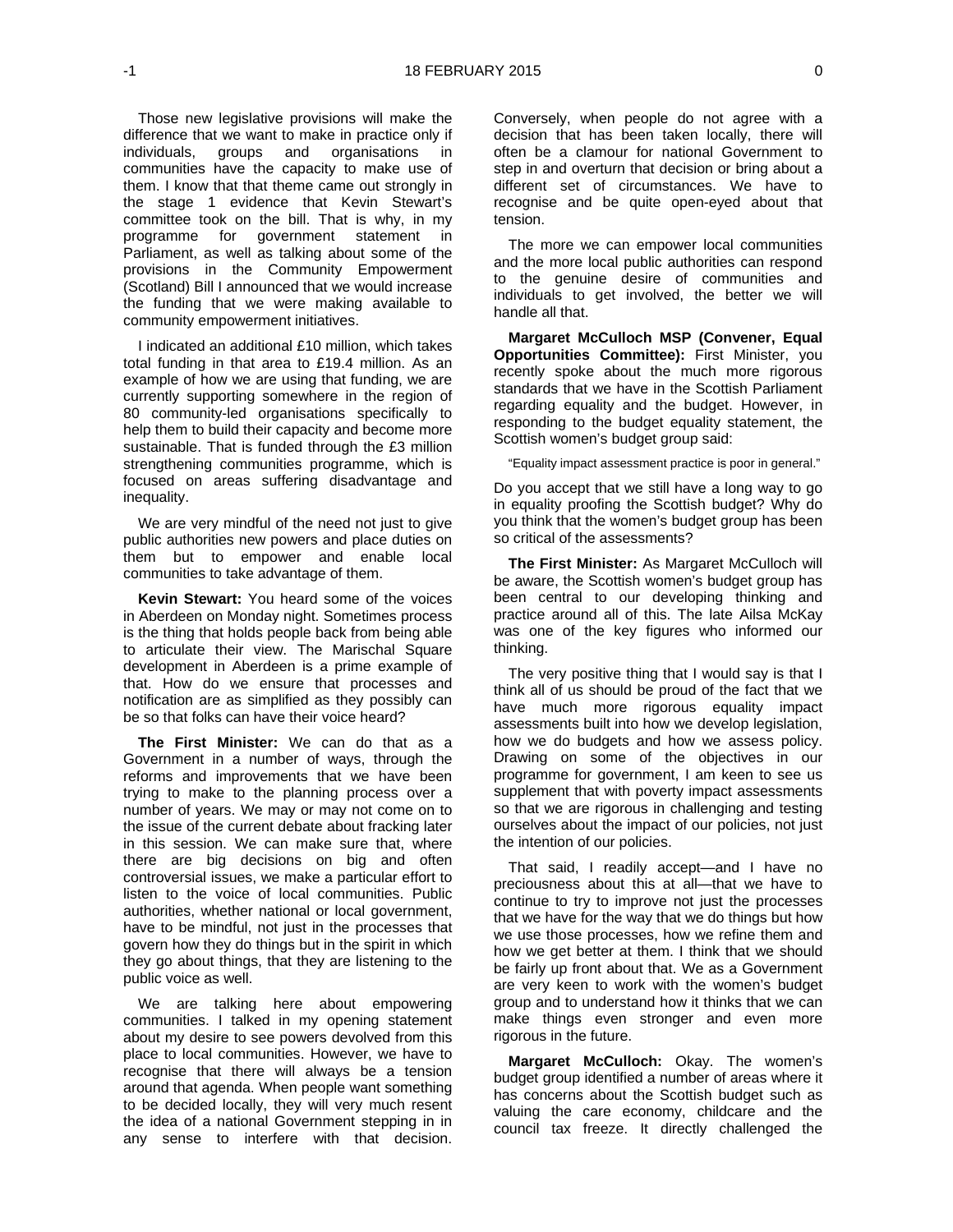Those new legislative provisions will make the difference that we want to make in practice only if individuals, groups and organisations in communities have the capacity to make use of them. I know that that theme came out strongly in the stage 1 evidence that Kevin Stewart's committee took on the bill. That is why, in my programme for government statement in Parliament, as well as talking about some of the provisions in the Community Empowerment (Scotland) Bill I announced that we would increase the funding that we were making available to community empowerment initiatives.

I indicated an additional £10 million, which takes total funding in that area to £19.4 million. As an example of how we are using that funding, we are currently supporting somewhere in the region of 80 community-led organisations specifically to help them to build their capacity and become more sustainable. That is funded through the £3 million strengthening communities programme, which is focused on areas suffering disadvantage and inequality.

We are very mindful of the need not just to give public authorities new powers and place duties on them but to empower and enable local communities to take advantage of them.

**Kevin Stewart:** You heard some of the voices in Aberdeen on Monday night. Sometimes process is the thing that holds people back from being able to articulate their view. The Marischal Square development in Aberdeen is a prime example of that. How do we ensure that processes and notification are as simplified as they possibly can be so that folks can have their voice heard?

**The First Minister:** We can do that as a Government in a number of ways, through the reforms and improvements that we have been trying to make to the planning process over a number of years. We may or may not come on to the issue of the current debate about fracking later in this session. We can make sure that, where there are big decisions on big and often controversial issues, we make a particular effort to listen to the voice of local communities. Public authorities, whether national or local government, have to be mindful, not just in the processes that govern how they do things but in the spirit in which they go about things, that they are listening to the public voice as well.

We are talking here about empowering communities. I talked in my opening statement about my desire to see powers devolved from this place to local communities. However, we have to recognise that there will always be a tension around that agenda. When people want something to be decided locally, they will very much resent the idea of a national Government stepping in in any sense to interfere with that decision.

Conversely, when people do not agree with a decision that has been taken locally, there will often be a clamour for national Government to step in and overturn that decision or bring about a different set of circumstances. We have to recognise and be quite open-eyed about that tension.

The more we can empower local communities and the more local public authorities can respond to the genuine desire of communities and individuals to get involved, the better we will handle all that.

**Margaret McCulloch MSP (Convener, Equal Opportunities Committee):** First Minister, you recently spoke about the much more rigorous standards that we have in the Scottish Parliament regarding equality and the budget. However, in responding to the budget equality statement, the Scottish women's budget group said:

"Equality impact assessment practice is poor in general."

Do you accept that we still have a long way to go in equality proofing the Scottish budget? Why do you think that the women's budget group has been so critical of the assessments?

**The First Minister:** As Margaret McCulloch will be aware, the Scottish women's budget group has been central to our developing thinking and practice around all of this. The late Ailsa McKay was one of the key figures who informed our thinking.

The very positive thing that I would say is that I think all of us should be proud of the fact that we have much more rigorous equality impact assessments built into how we develop legislation, how we do budgets and how we assess policy. Drawing on some of the objectives in our programme for government, I am keen to see us supplement that with poverty impact assessments so that we are rigorous in challenging and testing ourselves about the impact of our policies, not just the intention of our policies.

That said, I readily accept—and I have no preciousness about this at all—that we have to continue to try to improve not just the processes that we have for the way that we do things but how we use those processes, how we refine them and how we get better at them. I think that we should be fairly up front about that. We as a Government are very keen to work with the women's budget group and to understand how it thinks that we can make things even stronger and even more rigorous in the future.

**Margaret McCulloch:** Okay. The women's budget group identified a number of areas where it has concerns about the Scottish budget such as valuing the care economy, childcare and the council tax freeze. It directly challenged the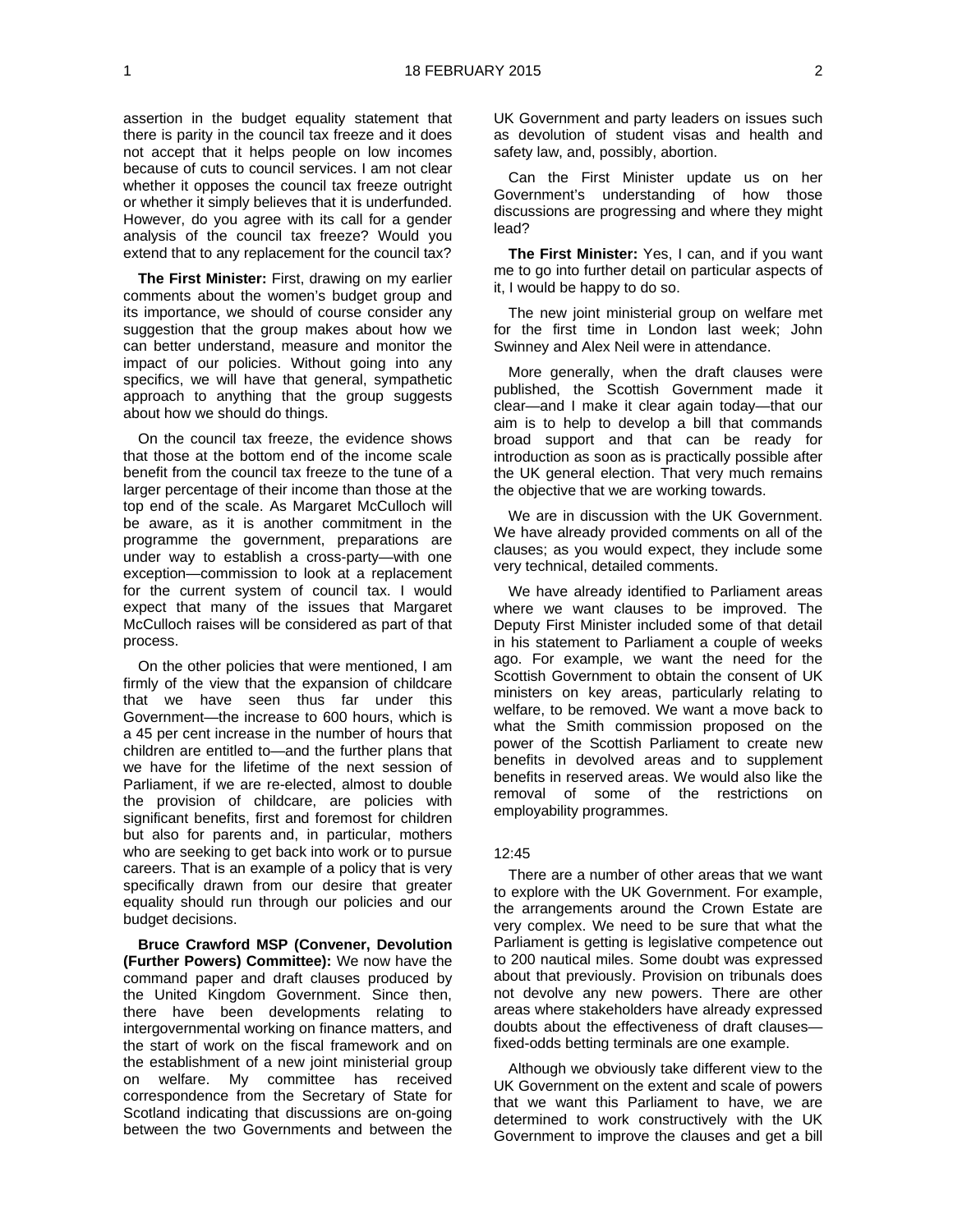assertion in the budget equality statement that there is parity in the council tax freeze and it does not accept that it helps people on low incomes because of cuts to council services. I am not clear whether it opposes the council tax freeze outright or whether it simply believes that it is underfunded. However, do you agree with its call for a gender analysis of the council tax freeze? Would you extend that to any replacement for the council tax?

**The First Minister:** First, drawing on my earlier comments about the women's budget group and its importance, we should of course consider any suggestion that the group makes about how we can better understand, measure and monitor the impact of our policies. Without going into any specifics, we will have that general, sympathetic approach to anything that the group suggests about how we should do things.

On the council tax freeze, the evidence shows that those at the bottom end of the income scale benefit from the council tax freeze to the tune of a larger percentage of their income than those at the top end of the scale. As Margaret McCulloch will be aware, as it is another commitment in the programme the government, preparations are under way to establish a cross-party—with one exception—commission to look at a replacement for the current system of council tax. I would expect that many of the issues that Margaret McCulloch raises will be considered as part of that process.

On the other policies that were mentioned, I am firmly of the view that the expansion of childcare that we have seen thus far under this Government—the increase to 600 hours, which is a 45 per cent increase in the number of hours that children are entitled to—and the further plans that we have for the lifetime of the next session of Parliament, if we are re-elected, almost to double the provision of childcare, are policies with significant benefits, first and foremost for children but also for parents and, in particular, mothers who are seeking to get back into work or to pursue careers. That is an example of a policy that is very specifically drawn from our desire that greater equality should run through our policies and our budget decisions.

**Bruce Crawford MSP (Convener, Devolution (Further Powers) Committee):** We now have the command paper and draft clauses produced by the United Kingdom Government. Since then, there have been developments relating to intergovernmental working on finance matters, and the start of work on the fiscal framework and on the establishment of a new joint ministerial group on welfare. My committee has received correspondence from the Secretary of State for Scotland indicating that discussions are on-going between the two Governments and between the

UK Government and party leaders on issues such as devolution of student visas and health and safety law, and, possibly, abortion.

Can the First Minister update us on her Government's understanding of how those discussions are progressing and where they might lead?

**The First Minister:** Yes, I can, and if you want me to go into further detail on particular aspects of it, I would be happy to do so.

The new joint ministerial group on welfare met for the first time in London last week; John Swinney and Alex Neil were in attendance.

More generally, when the draft clauses were published, the Scottish Government made it clear—and I make it clear again today—that our aim is to help to develop a bill that commands broad support and that can be ready for introduction as soon as is practically possible after the UK general election. That very much remains the objective that we are working towards.

We are in discussion with the UK Government. We have already provided comments on all of the clauses; as you would expect, they include some very technical, detailed comments.

We have already identified to Parliament areas where we want clauses to be improved. The Deputy First Minister included some of that detail in his statement to Parliament a couple of weeks ago. For example, we want the need for the Scottish Government to obtain the consent of UK ministers on key areas, particularly relating to welfare, to be removed. We want a move back to what the Smith commission proposed on the power of the Scottish Parliament to create new benefits in devolved areas and to supplement benefits in reserved areas. We would also like the removal of some of the restrictions on employability programmes.

#### $12.45$

There are a number of other areas that we want to explore with the UK Government. For example, the arrangements around the Crown Estate are very complex. We need to be sure that what the Parliament is getting is legislative competence out to 200 nautical miles. Some doubt was expressed about that previously. Provision on tribunals does not devolve any new powers. There are other areas where stakeholders have already expressed doubts about the effectiveness of draft clauses fixed-odds betting terminals are one example.

Although we obviously take different view to the UK Government on the extent and scale of powers that we want this Parliament to have, we are determined to work constructively with the UK Government to improve the clauses and get a bill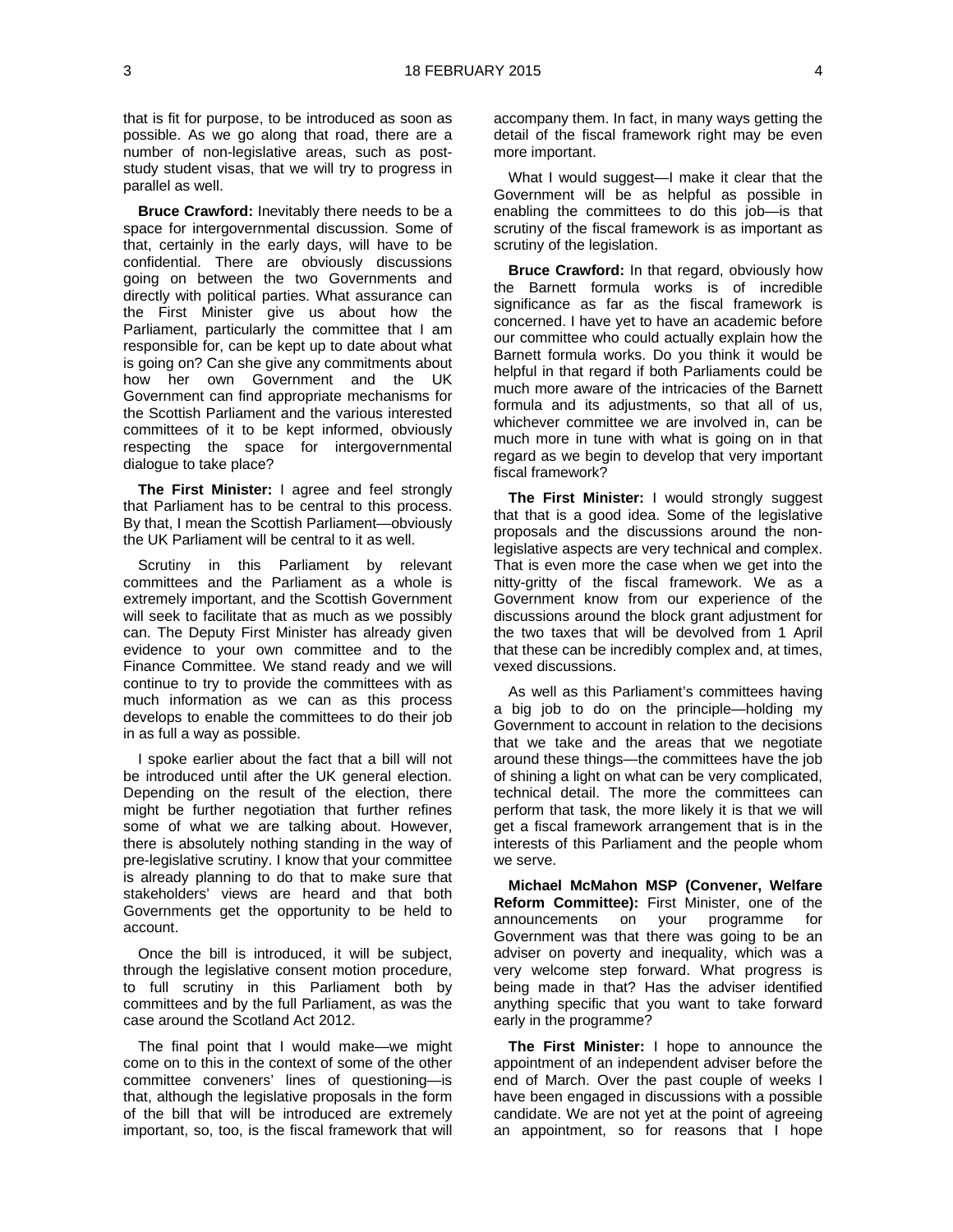that is fit for purpose, to be introduced as soon as possible. As we go along that road, there are a number of non-legislative areas, such as poststudy student visas, that we will try to progress in parallel as well.

**Bruce Crawford:** Inevitably there needs to be a space for intergovernmental discussion. Some of that, certainly in the early days, will have to be confidential. There are obviously discussions going on between the two Governments and directly with political parties. What assurance can the First Minister give us about how the Parliament, particularly the committee that I am responsible for, can be kept up to date about what is going on? Can she give any commitments about how her own Government and the UK Government can find appropriate mechanisms for the Scottish Parliament and the various interested committees of it to be kept informed, obviously respecting the space for intergovernmental dialogue to take place?

**The First Minister:** I agree and feel strongly that Parliament has to be central to this process. By that, I mean the Scottish Parliament—obviously the UK Parliament will be central to it as well.

Scrutiny in this Parliament by relevant committees and the Parliament as a whole is extremely important, and the Scottish Government will seek to facilitate that as much as we possibly can. The Deputy First Minister has already given evidence to your own committee and to the Finance Committee. We stand ready and we will continue to try to provide the committees with as much information as we can as this process develops to enable the committees to do their job in as full a way as possible.

I spoke earlier about the fact that a bill will not be introduced until after the UK general election. Depending on the result of the election, there might be further negotiation that further refines some of what we are talking about. However, there is absolutely nothing standing in the way of pre-legislative scrutiny. I know that your committee is already planning to do that to make sure that stakeholders' views are heard and that both Governments get the opportunity to be held to account.

Once the bill is introduced, it will be subject, through the legislative consent motion procedure, to full scrutiny in this Parliament both by committees and by the full Parliament, as was the case around the Scotland Act 2012.

The final point that I would make—we might come on to this in the context of some of the other committee conveners' lines of questioning—is that, although the legislative proposals in the form of the bill that will be introduced are extremely important, so, too, is the fiscal framework that will accompany them. In fact, in many ways getting the detail of the fiscal framework right may be even more important.

What I would suggest—I make it clear that the Government will be as helpful as possible in enabling the committees to do this job—is that scrutiny of the fiscal framework is as important as scrutiny of the legislation.

**Bruce Crawford:** In that regard, obviously how the Barnett formula works is of incredible significance as far as the fiscal framework is concerned. I have yet to have an academic before our committee who could actually explain how the Barnett formula works. Do you think it would be helpful in that regard if both Parliaments could be much more aware of the intricacies of the Barnett formula and its adjustments, so that all of us, whichever committee we are involved in, can be much more in tune with what is going on in that regard as we begin to develop that very important fiscal framework?

**The First Minister:** I would strongly suggest that that is a good idea. Some of the legislative proposals and the discussions around the nonlegislative aspects are very technical and complex. That is even more the case when we get into the nitty-gritty of the fiscal framework. We as a Government know from our experience of the discussions around the block grant adjustment for the two taxes that will be devolved from 1 April that these can be incredibly complex and, at times, vexed discussions.

As well as this Parliament's committees having a big job to do on the principle—holding my Government to account in relation to the decisions that we take and the areas that we negotiate around these things—the committees have the job of shining a light on what can be very complicated, technical detail. The more the committees can perform that task, the more likely it is that we will get a fiscal framework arrangement that is in the interests of this Parliament and the people whom we serve.

**Michael McMahon MSP (Convener, Welfare Reform Committee):** First Minister, one of the announcements on your programme for Government was that there was going to be an adviser on poverty and inequality, which was a very welcome step forward. What progress is being made in that? Has the adviser identified anything specific that you want to take forward early in the programme?

**The First Minister:** I hope to announce the appointment of an independent adviser before the end of March. Over the past couple of weeks I have been engaged in discussions with a possible candidate. We are not yet at the point of agreeing an appointment, so for reasons that I hope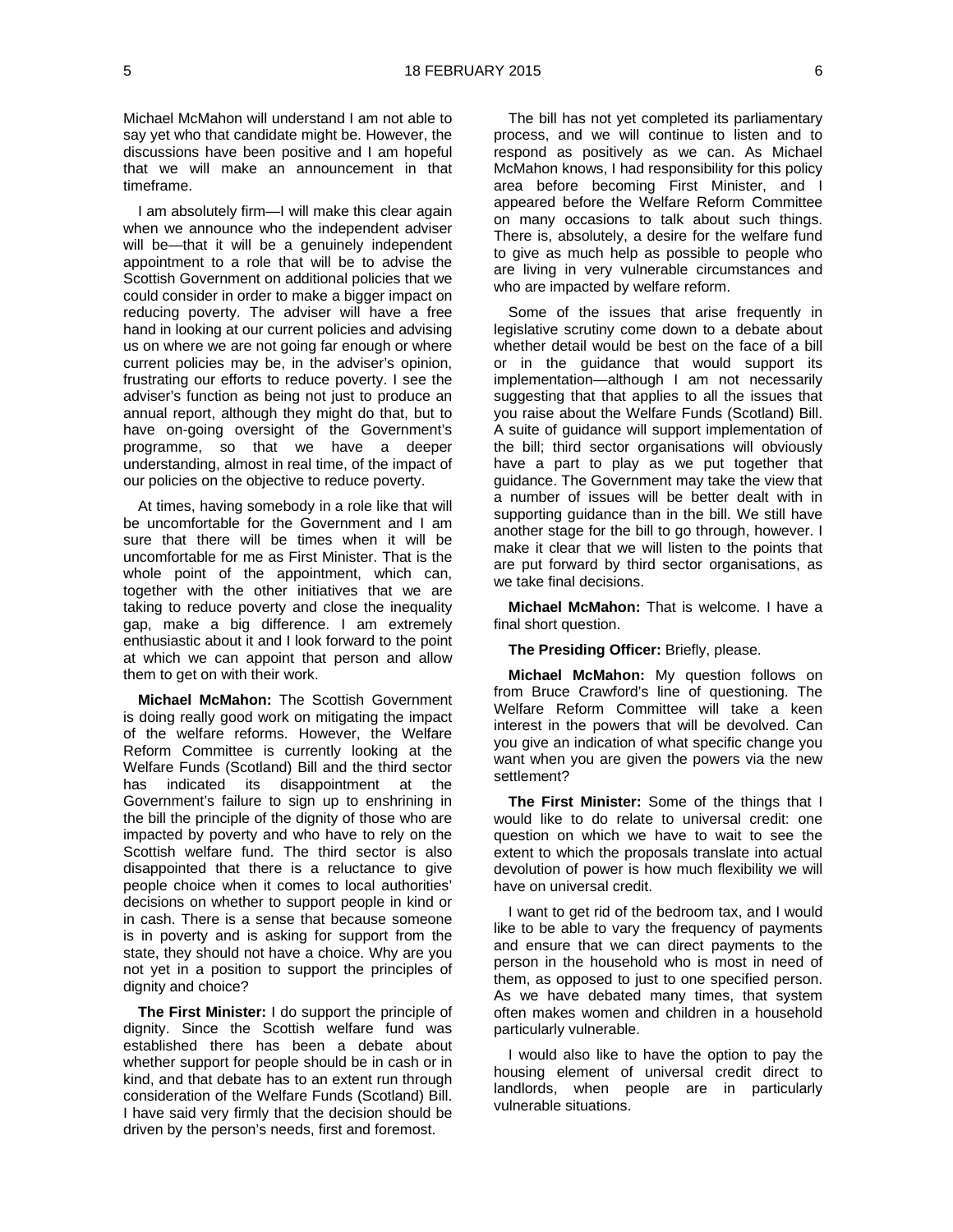Michael McMahon will understand I am not able to say yet who that candidate might be. However, the discussions have been positive and I am hopeful that we will make an announcement in that timeframe.

I am absolutely firm—I will make this clear again when we announce who the independent adviser will be—that it will be a genuinely independent appointment to a role that will be to advise the Scottish Government on additional policies that we could consider in order to make a bigger impact on reducing poverty. The adviser will have a free hand in looking at our current policies and advising us on where we are not going far enough or where current policies may be, in the adviser's opinion, frustrating our efforts to reduce poverty. I see the adviser's function as being not just to produce an annual report, although they might do that, but to have on-going oversight of the Government's programme, so that we have a deeper understanding, almost in real time, of the impact of our policies on the objective to reduce poverty.

At times, having somebody in a role like that will be uncomfortable for the Government and I am sure that there will be times when it will be uncomfortable for me as First Minister. That is the whole point of the appointment, which can, together with the other initiatives that we are taking to reduce poverty and close the inequality gap, make a big difference. I am extremely enthusiastic about it and I look forward to the point at which we can appoint that person and allow them to get on with their work.

**Michael McMahon:** The Scottish Government is doing really good work on mitigating the impact of the welfare reforms. However, the Welfare Reform Committee is currently looking at the Welfare Funds (Scotland) Bill and the third sector has indicated its disappointment at the Government's failure to sign up to enshrining in the bill the principle of the dignity of those who are impacted by poverty and who have to rely on the Scottish welfare fund. The third sector is also disappointed that there is a reluctance to give people choice when it comes to local authorities' decisions on whether to support people in kind or in cash. There is a sense that because someone is in poverty and is asking for support from the state, they should not have a choice. Why are you not yet in a position to support the principles of dignity and choice?

**The First Minister:** I do support the principle of dignity. Since the Scottish welfare fund was established there has been a debate about whether support for people should be in cash or in kind, and that debate has to an extent run through consideration of the Welfare Funds (Scotland) Bill. I have said very firmly that the decision should be driven by the person's needs, first and foremost.

The bill has not yet completed its parliamentary process, and we will continue to listen and to respond as positively as we can. As Michael McMahon knows, I had responsibility for this policy area before becoming First Minister, and I appeared before the Welfare Reform Committee on many occasions to talk about such things. There is, absolutely, a desire for the welfare fund to give as much help as possible to people who are living in very vulnerable circumstances and who are impacted by welfare reform.

Some of the issues that arise frequently in legislative scrutiny come down to a debate about whether detail would be best on the face of a bill or in the guidance that would support its implementation—although I am not necessarily suggesting that that applies to all the issues that you raise about the Welfare Funds (Scotland) Bill. A suite of guidance will support implementation of the bill; third sector organisations will obviously have a part to play as we put together that guidance. The Government may take the view that a number of issues will be better dealt with in supporting guidance than in the bill. We still have another stage for the bill to go through, however. I make it clear that we will listen to the points that are put forward by third sector organisations, as we take final decisions.

**Michael McMahon:** That is welcome. I have a final short question.

**The Presiding Officer:** Briefly, please.

**Michael McMahon:** My question follows on from Bruce Crawford's line of questioning. The Welfare Reform Committee will take a keen interest in the powers that will be devolved. Can you give an indication of what specific change you want when you are given the powers via the new settlement?

**The First Minister:** Some of the things that I would like to do relate to universal credit: one question on which we have to wait to see the extent to which the proposals translate into actual devolution of power is how much flexibility we will have on universal credit.

I want to get rid of the bedroom tax, and I would like to be able to vary the frequency of payments and ensure that we can direct payments to the person in the household who is most in need of them, as opposed to just to one specified person. As we have debated many times, that system often makes women and children in a household particularly vulnerable.

I would also like to have the option to pay the housing element of universal credit direct to landlords, when people are in particularly vulnerable situations.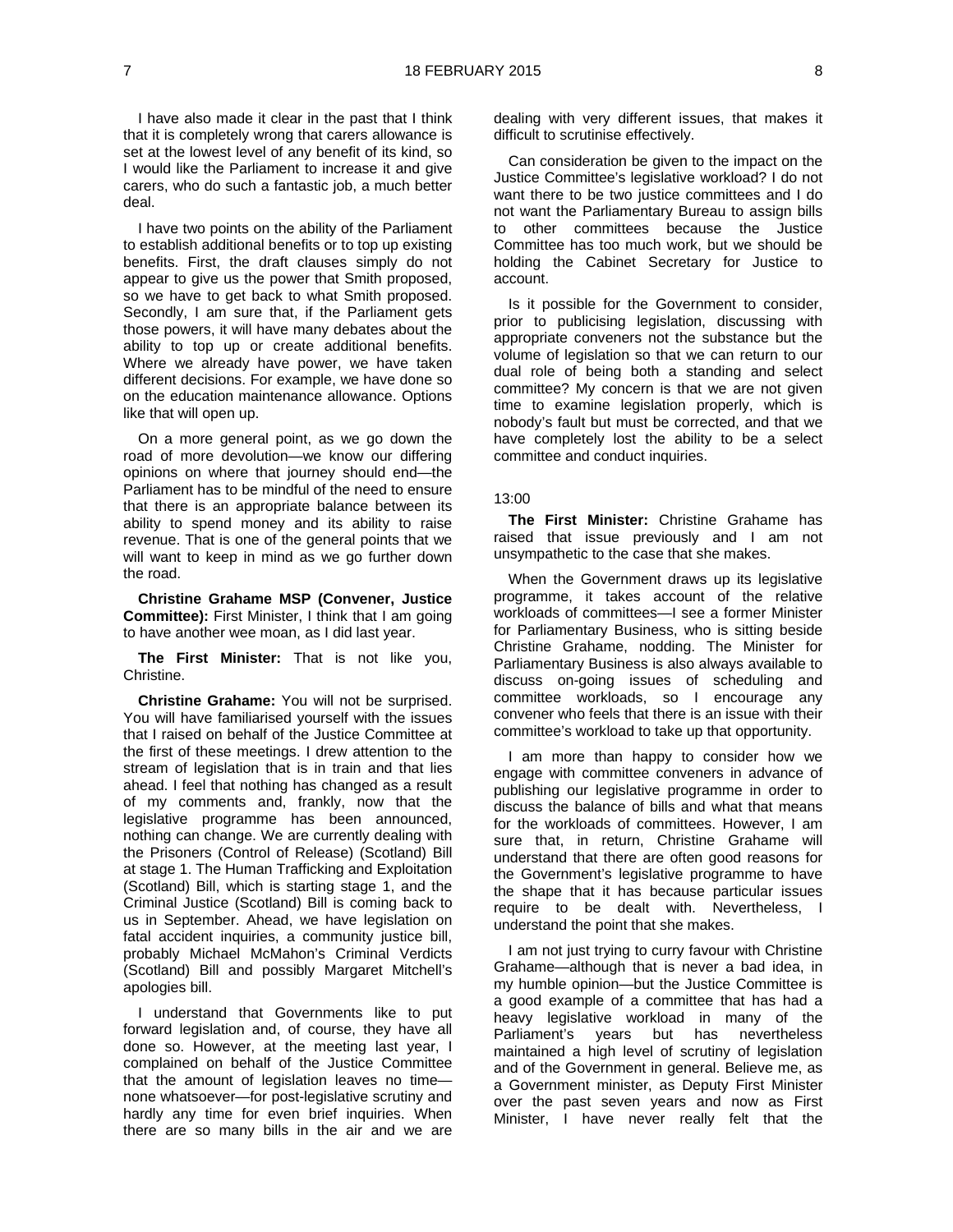I have also made it clear in the past that I think that it is completely wrong that carers allowance is set at the lowest level of any benefit of its kind, so I would like the Parliament to increase it and give carers, who do such a fantastic job, a much better deal.

I have two points on the ability of the Parliament to establish additional benefits or to top up existing benefits. First, the draft clauses simply do not appear to give us the power that Smith proposed, so we have to get back to what Smith proposed. Secondly, I am sure that, if the Parliament gets those powers, it will have many debates about the ability to top up or create additional benefits. Where we already have power, we have taken different decisions. For example, we have done so on the education maintenance allowance. Options like that will open up.

On a more general point, as we go down the road of more devolution—we know our differing opinions on where that journey should end—the Parliament has to be mindful of the need to ensure that there is an appropriate balance between its ability to spend money and its ability to raise revenue. That is one of the general points that we will want to keep in mind as we go further down the road.

**Christine Grahame MSP (Convener, Justice Committee):** First Minister, I think that I am going to have another wee moan, as I did last year.

**The First Minister:** That is not like you, Christine.

**Christine Grahame:** You will not be surprised. You will have familiarised yourself with the issues that I raised on behalf of the Justice Committee at the first of these meetings. I drew attention to the stream of legislation that is in train and that lies ahead. I feel that nothing has changed as a result of my comments and, frankly, now that the legislative programme has been announced, nothing can change. We are currently dealing with the Prisoners (Control of Release) (Scotland) Bill at stage 1. The Human Trafficking and Exploitation (Scotland) Bill, which is starting stage 1, and the Criminal Justice (Scotland) Bill is coming back to us in September. Ahead, we have legislation on fatal accident inquiries, a community justice bill, probably Michael McMahon's Criminal Verdicts (Scotland) Bill and possibly Margaret Mitchell's apologies bill.

I understand that Governments like to put forward legislation and, of course, they have all done so. However, at the meeting last year, I complained on behalf of the Justice Committee that the amount of legislation leaves no time none whatsoever—for post-legislative scrutiny and hardly any time for even brief inquiries. When there are so many bills in the air and we are

dealing with very different issues, that makes it difficult to scrutinise effectively.

Can consideration be given to the impact on the Justice Committee's legislative workload? I do not want there to be two justice committees and I do not want the Parliamentary Bureau to assign bills to other committees because the Justice Committee has too much work, but we should be holding the Cabinet Secretary for Justice to account.

Is it possible for the Government to consider, prior to publicising legislation, discussing with appropriate conveners not the substance but the volume of legislation so that we can return to our dual role of being both a standing and select committee? My concern is that we are not given time to examine legislation properly, which is nobody's fault but must be corrected, and that we have completely lost the ability to be a select committee and conduct inquiries.

#### 13:00

**The First Minister:** Christine Grahame has raised that issue previously and I am not unsympathetic to the case that she makes.

When the Government draws up its legislative programme, it takes account of the relative workloads of committees—I see a former Minister for Parliamentary Business, who is sitting beside Christine Grahame, nodding. The Minister for Parliamentary Business is also always available to discuss on-going issues of scheduling and committee workloads, so I encourage any convener who feels that there is an issue with their committee's workload to take up that opportunity.

I am more than happy to consider how we engage with committee conveners in advance of publishing our legislative programme in order to discuss the balance of bills and what that means for the workloads of committees. However, I am sure that, in return, Christine Grahame will understand that there are often good reasons for the Government's legislative programme to have the shape that it has because particular issues require to be dealt with. Nevertheless, I understand the point that she makes.

I am not just trying to curry favour with Christine Grahame—although that is never a bad idea, in my humble opinion—but the Justice Committee is a good example of a committee that has had a heavy legislative workload in many of the Parliament's years but has nevertheless maintained a high level of scrutiny of legislation and of the Government in general. Believe me, as a Government minister, as Deputy First Minister over the past seven years and now as First Minister, I have never really felt that the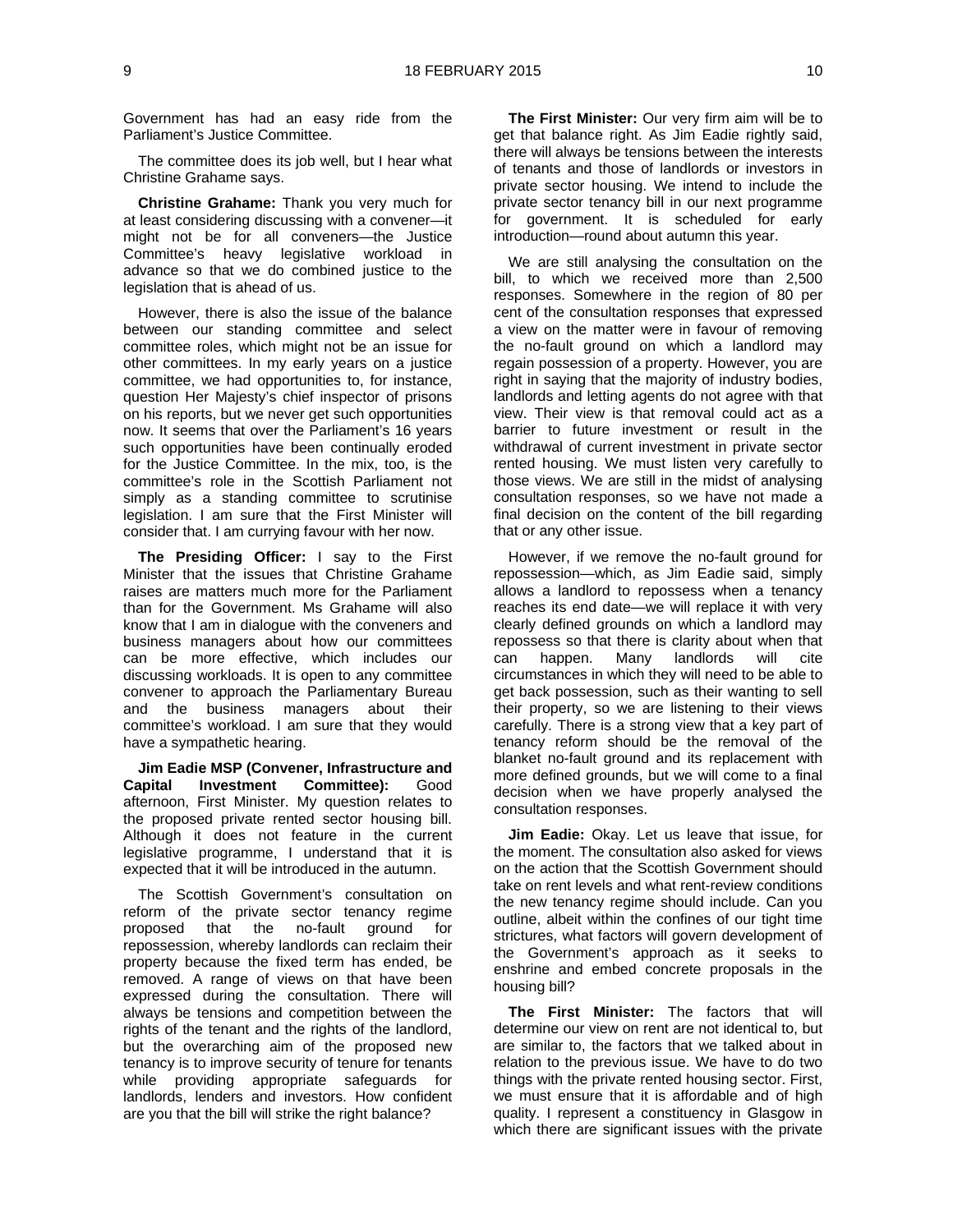Government has had an easy ride from the Parliament's Justice Committee.

The committee does its job well, but I hear what Christine Grahame says.

**Christine Grahame:** Thank you very much for at least considering discussing with a convener—it might not be for all conveners—the Justice Committee's heavy legislative workload in advance so that we do combined justice to the legislation that is ahead of us.

However, there is also the issue of the balance between our standing committee and select committee roles, which might not be an issue for other committees. In my early years on a justice committee, we had opportunities to, for instance, question Her Majesty's chief inspector of prisons on his reports, but we never get such opportunities now. It seems that over the Parliament's 16 years such opportunities have been continually eroded for the Justice Committee. In the mix, too, is the committee's role in the Scottish Parliament not simply as a standing committee to scrutinise legislation. I am sure that the First Minister will consider that. I am currying favour with her now.

**The Presiding Officer:** I say to the First Minister that the issues that Christine Grahame raises are matters much more for the Parliament than for the Government. Ms Grahame will also know that I am in dialogue with the conveners and business managers about how our committees can be more effective, which includes our discussing workloads. It is open to any committee convener to approach the Parliamentary Bureau and the business managers about their committee's workload. I am sure that they would have a sympathetic hearing.

**Jim Eadie MSP (Convener, Infrastructure and Capital Investment Committee):** Good afternoon, First Minister. My question relates to the proposed private rented sector housing bill. Although it does not feature in the current legislative programme, I understand that it is expected that it will be introduced in the autumn.

The Scottish Government's consultation on reform of the private sector tenancy regime proposed that the no-fault ground for repossession, whereby landlords can reclaim their property because the fixed term has ended, be removed. A range of views on that have been expressed during the consultation. There will always be tensions and competition between the rights of the tenant and the rights of the landlord, but the overarching aim of the proposed new tenancy is to improve security of tenure for tenants while providing appropriate safeguards for landlords, lenders and investors. How confident are you that the bill will strike the right balance?

**The First Minister:** Our very firm aim will be to get that balance right. As Jim Eadie rightly said, there will always be tensions between the interests of tenants and those of landlords or investors in private sector housing. We intend to include the private sector tenancy bill in our next programme for government. It is scheduled for early introduction—round about autumn this year.

We are still analysing the consultation on the bill, to which we received more than 2,500 responses. Somewhere in the region of 80 per cent of the consultation responses that expressed a view on the matter were in favour of removing the no-fault ground on which a landlord may regain possession of a property. However, you are right in saying that the majority of industry bodies, landlords and letting agents do not agree with that view. Their view is that removal could act as a barrier to future investment or result in the withdrawal of current investment in private sector rented housing. We must listen very carefully to those views. We are still in the midst of analysing consultation responses, so we have not made a final decision on the content of the bill regarding that or any other issue.

However, if we remove the no-fault ground for repossession—which, as Jim Eadie said, simply allows a landlord to repossess when a tenancy reaches its end date—we will replace it with very clearly defined grounds on which a landlord may repossess so that there is clarity about when that can happen. Many landlords will cite circumstances in which they will need to be able to get back possession, such as their wanting to sell their property, so we are listening to their views carefully. There is a strong view that a key part of tenancy reform should be the removal of the blanket no-fault ground and its replacement with more defined grounds, but we will come to a final decision when we have properly analysed the consultation responses.

**Jim Eadie:** Okay. Let us leave that issue, for the moment. The consultation also asked for views on the action that the Scottish Government should take on rent levels and what rent-review conditions the new tenancy regime should include. Can you outline, albeit within the confines of our tight time strictures, what factors will govern development of the Government's approach as it seeks to enshrine and embed concrete proposals in the housing bill?

**The First Minister:** The factors that will determine our view on rent are not identical to, but are similar to, the factors that we talked about in relation to the previous issue. We have to do two things with the private rented housing sector. First, we must ensure that it is affordable and of high quality. I represent a constituency in Glasgow in which there are significant issues with the private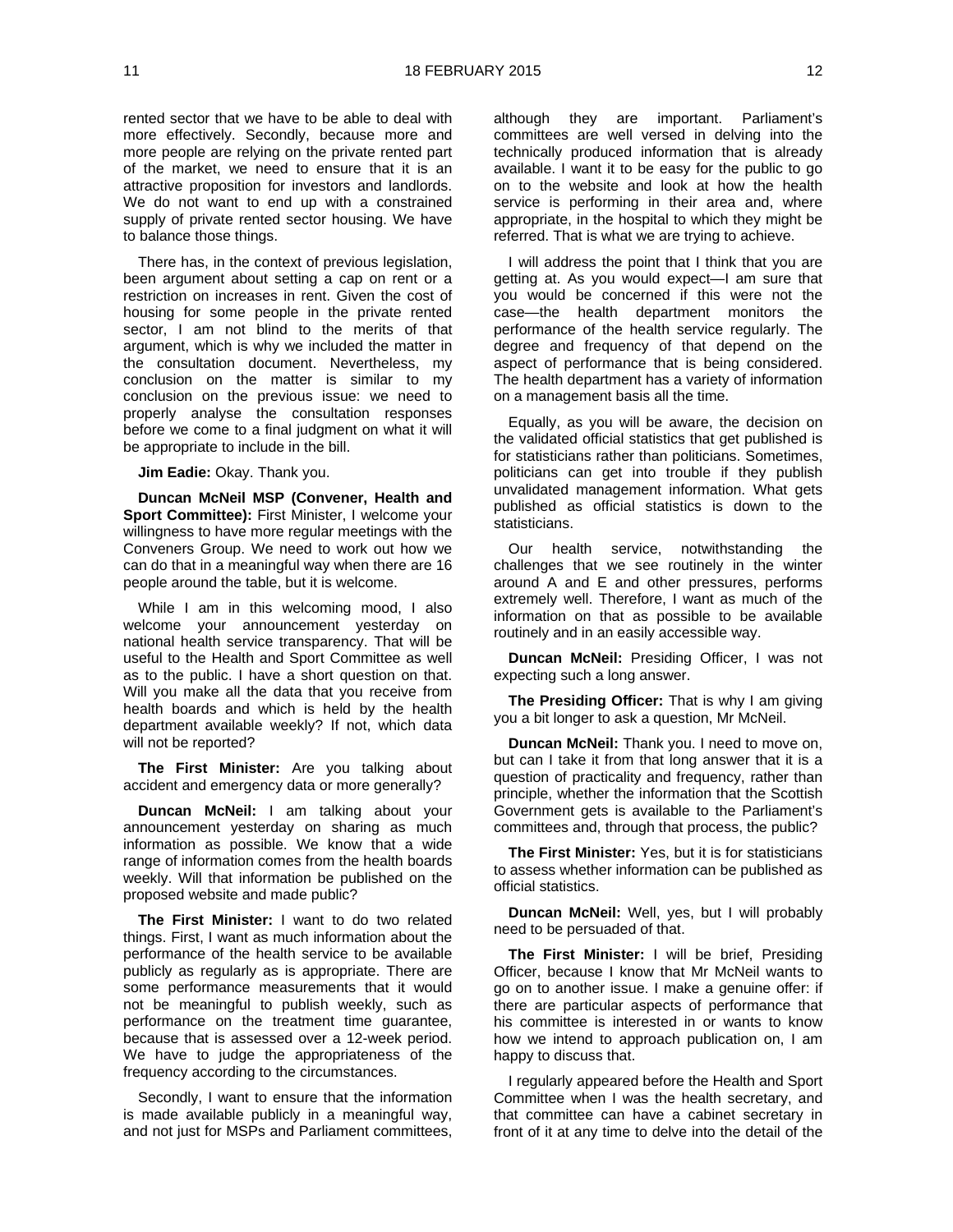rented sector that we have to be able to deal with more effectively. Secondly, because more and more people are relying on the private rented part of the market, we need to ensure that it is an attractive proposition for investors and landlords. We do not want to end up with a constrained supply of private rented sector housing. We have to balance those things.

There has, in the context of previous legislation, been argument about setting a cap on rent or a restriction on increases in rent. Given the cost of housing for some people in the private rented sector, I am not blind to the merits of that argument, which is why we included the matter in the consultation document. Nevertheless, my conclusion on the matter is similar to my conclusion on the previous issue: we need to properly analyse the consultation responses before we come to a final judgment on what it will be appropriate to include in the bill.

**Jim Eadie:** Okay. Thank you.

**Duncan McNeil MSP (Convener, Health and Sport Committee):** First Minister, I welcome your willingness to have more regular meetings with the Conveners Group. We need to work out how we can do that in a meaningful way when there are 16 people around the table, but it is welcome.

While I am in this welcoming mood, I also welcome your announcement yesterday on national health service transparency. That will be useful to the Health and Sport Committee as well as to the public. I have a short question on that. Will you make all the data that you receive from health boards and which is held by the health department available weekly? If not, which data will not be reported?

**The First Minister:** Are you talking about accident and emergency data or more generally?

**Duncan McNeil:** I am talking about your announcement yesterday on sharing as much information as possible. We know that a wide range of information comes from the health boards weekly. Will that information be published on the proposed website and made public?

**The First Minister:** I want to do two related things. First, I want as much information about the performance of the health service to be available publicly as regularly as is appropriate. There are some performance measurements that it would not be meaningful to publish weekly, such as performance on the treatment time guarantee, because that is assessed over a 12-week period. We have to judge the appropriateness of the frequency according to the circumstances.

Secondly, I want to ensure that the information is made available publicly in a meaningful way, and not just for MSPs and Parliament committees,

although they are important. Parliament's committees are well versed in delving into the technically produced information that is already available. I want it to be easy for the public to go on to the website and look at how the health service is performing in their area and, where appropriate, in the hospital to which they might be referred. That is what we are trying to achieve.

I will address the point that I think that you are getting at. As you would expect—I am sure that you would be concerned if this were not the case—the health department monitors the performance of the health service regularly. The degree and frequency of that depend on the aspect of performance that is being considered. The health department has a variety of information on a management basis all the time.

Equally, as you will be aware, the decision on the validated official statistics that get published is for statisticians rather than politicians. Sometimes, politicians can get into trouble if they publish unvalidated management information. What gets published as official statistics is down to the statisticians.

Our health service, notwithstanding the challenges that we see routinely in the winter around A and E and other pressures, performs extremely well. Therefore, I want as much of the information on that as possible to be available routinely and in an easily accessible way.

**Duncan McNeil:** Presiding Officer, I was not expecting such a long answer.

**The Presiding Officer:** That is why I am giving you a bit longer to ask a question, Mr McNeil.

**Duncan McNeil:** Thank you. I need to move on, but can I take it from that long answer that it is a question of practicality and frequency, rather than principle, whether the information that the Scottish Government gets is available to the Parliament's committees and, through that process, the public?

**The First Minister:** Yes, but it is for statisticians to assess whether information can be published as official statistics.

**Duncan McNeil:** Well, yes, but I will probably need to be persuaded of that.

**The First Minister:** I will be brief, Presiding Officer, because I know that Mr McNeil wants to go on to another issue. I make a genuine offer: if there are particular aspects of performance that his committee is interested in or wants to know how we intend to approach publication on, I am happy to discuss that.

I regularly appeared before the Health and Sport Committee when I was the health secretary, and that committee can have a cabinet secretary in front of it at any time to delve into the detail of the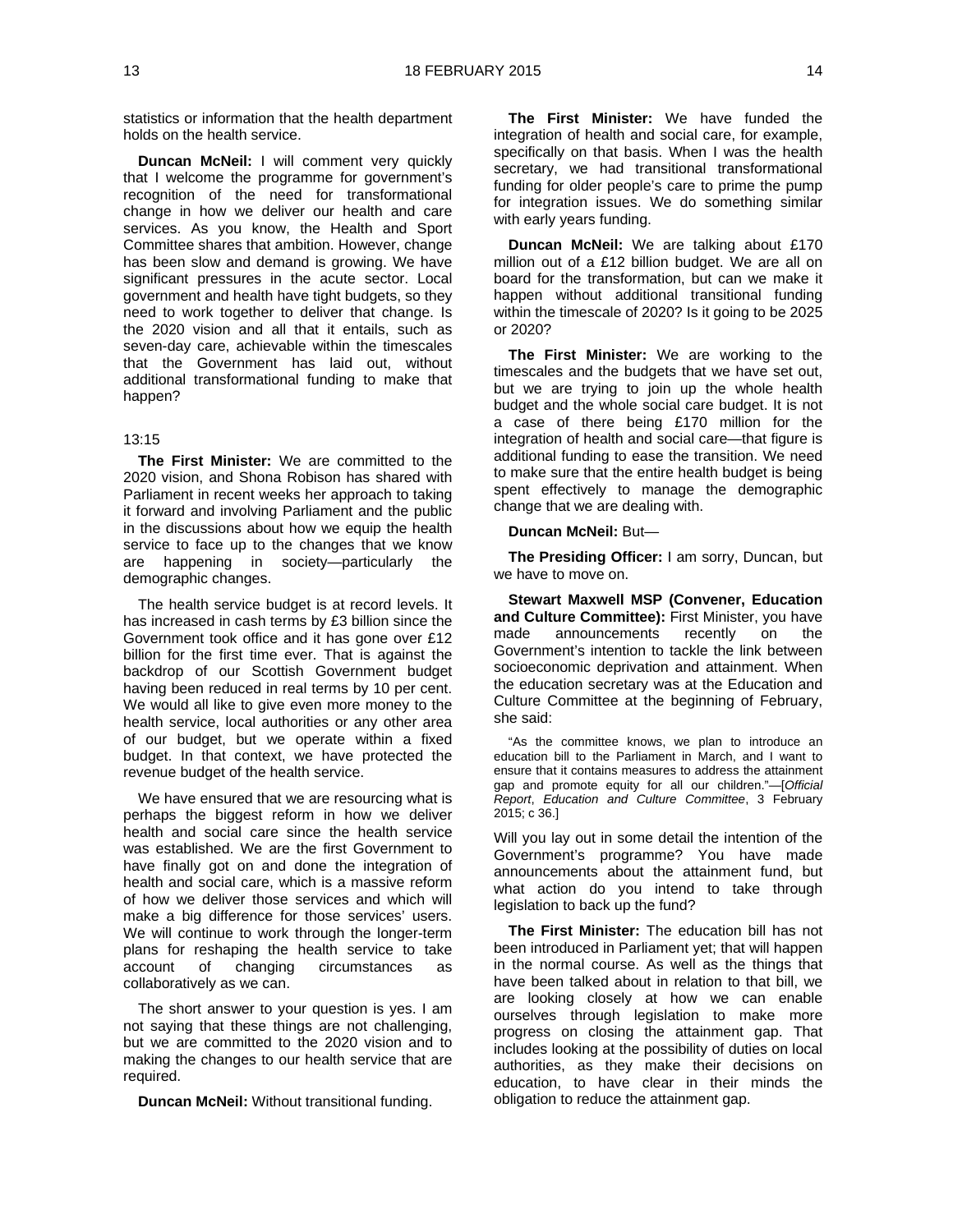statistics or information that the health department holds on the health service.

**Duncan McNeil:** I will comment very quickly that I welcome the programme for government's recognition of the need for transformational change in how we deliver our health and care services. As you know, the Health and Sport Committee shares that ambition. However, change has been slow and demand is growing. We have significant pressures in the acute sector. Local government and health have tight budgets, so they need to work together to deliver that change. Is the 2020 vision and all that it entails, such as seven-day care, achievable within the timescales that the Government has laid out, without additional transformational funding to make that happen?

#### 13:15

**The First Minister:** We are committed to the 2020 vision, and Shona Robison has shared with Parliament in recent weeks her approach to taking it forward and involving Parliament and the public in the discussions about how we equip the health service to face up to the changes that we know are happening in society—particularly the demographic changes.

The health service budget is at record levels. It has increased in cash terms by £3 billion since the Government took office and it has gone over £12 billion for the first time ever. That is against the backdrop of our Scottish Government budget having been reduced in real terms by 10 per cent. We would all like to give even more money to the health service, local authorities or any other area of our budget, but we operate within a fixed budget. In that context, we have protected the revenue budget of the health service.

We have ensured that we are resourcing what is perhaps the biggest reform in how we deliver health and social care since the health service was established. We are the first Government to have finally got on and done the integration of health and social care, which is a massive reform of how we deliver those services and which will make a big difference for those services' users. We will continue to work through the longer-term plans for reshaping the health service to take account of changing circumstances as collaboratively as we can.

The short answer to your question is yes. I am not saying that these things are not challenging, but we are committed to the 2020 vision and to making the changes to our health service that are required.

**Duncan McNeil:** Without transitional funding.

**The First Minister:** We have funded the integration of health and social care, for example, specifically on that basis. When I was the health secretary, we had transitional transformational funding for older people's care to prime the pump for integration issues. We do something similar with early years funding.

**Duncan McNeil:** We are talking about £170 million out of a £12 billion budget. We are all on board for the transformation, but can we make it happen without additional transitional funding within the timescale of 2020? Is it going to be 2025 or 2020?

**The First Minister:** We are working to the timescales and the budgets that we have set out, but we are trying to join up the whole health budget and the whole social care budget. It is not a case of there being £170 million for the integration of health and social care—that figure is additional funding to ease the transition. We need to make sure that the entire health budget is being spent effectively to manage the demographic change that we are dealing with.

#### **Duncan McNeil:** But—

**The Presiding Officer:** I am sorry, Duncan, but we have to move on.

**Stewart Maxwell MSP (Convener, Education and Culture Committee):** First Minister, you have made announcements recently on the Government's intention to tackle the link between socioeconomic deprivation and attainment. When the education secretary was at the Education and Culture Committee at the beginning of February, she said:

"As the committee knows, we plan to introduce an education bill to the Parliament in March, and I want to ensure that it contains measures to address the attainment gap and promote equity for all our children."—[*Official Report*, *Education and Culture Committee*, 3 February 2015; c 36.]

Will you lay out in some detail the intention of the Government's programme? You have made announcements about the attainment fund, but what action do you intend to take through legislation to back up the fund?

**The First Minister:** The education bill has not been introduced in Parliament yet; that will happen in the normal course. As well as the things that have been talked about in relation to that bill, we are looking closely at how we can enable ourselves through legislation to make more progress on closing the attainment gap. That includes looking at the possibility of duties on local authorities, as they make their decisions on education, to have clear in their minds the obligation to reduce the attainment gap.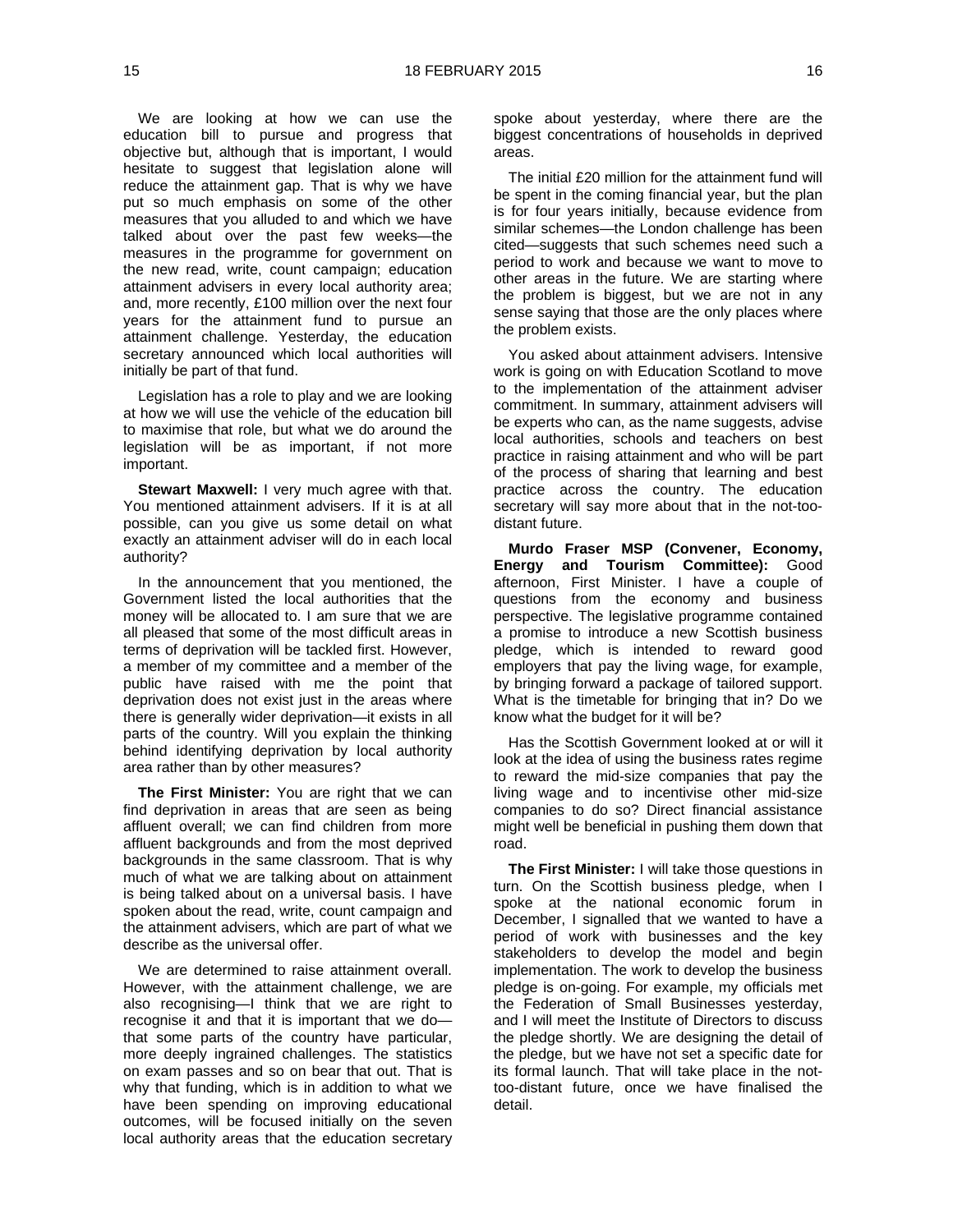We are looking at how we can use the education bill to pursue and progress that objective but, although that is important, I would hesitate to suggest that legislation alone will reduce the attainment gap. That is why we have put so much emphasis on some of the other measures that you alluded to and which we have talked about over the past few weeks—the measures in the programme for government on the new read, write, count campaign; education attainment advisers in every local authority area; and, more recently, £100 million over the next four years for the attainment fund to pursue an attainment challenge. Yesterday, the education secretary announced which local authorities will initially be part of that fund.

Legislation has a role to play and we are looking at how we will use the vehicle of the education bill to maximise that role, but what we do around the legislation will be as important, if not more important.

**Stewart Maxwell:** I very much agree with that. You mentioned attainment advisers. If it is at all possible, can you give us some detail on what exactly an attainment adviser will do in each local authority?

In the announcement that you mentioned, the Government listed the local authorities that the money will be allocated to. I am sure that we are all pleased that some of the most difficult areas in terms of deprivation will be tackled first. However, a member of my committee and a member of the public have raised with me the point that deprivation does not exist just in the areas where there is generally wider deprivation—it exists in all parts of the country. Will you explain the thinking behind identifying deprivation by local authority area rather than by other measures?

**The First Minister:** You are right that we can find deprivation in areas that are seen as being affluent overall; we can find children from more affluent backgrounds and from the most deprived backgrounds in the same classroom. That is why much of what we are talking about on attainment is being talked about on a universal basis. I have spoken about the read, write, count campaign and the attainment advisers, which are part of what we describe as the universal offer.

We are determined to raise attainment overall. However, with the attainment challenge, we are also recognising—I think that we are right to recognise it and that it is important that we do that some parts of the country have particular, more deeply ingrained challenges. The statistics on exam passes and so on bear that out. That is why that funding, which is in addition to what we have been spending on improving educational outcomes, will be focused initially on the seven local authority areas that the education secretary

spoke about yesterday, where there are the biggest concentrations of households in deprived areas.

The initial £20 million for the attainment fund will be spent in the coming financial year, but the plan is for four years initially, because evidence from similar schemes—the London challenge has been cited—suggests that such schemes need such a period to work and because we want to move to other areas in the future. We are starting where the problem is biggest, but we are not in any sense saying that those are the only places where the problem exists.

You asked about attainment advisers. Intensive work is going on with Education Scotland to move to the implementation of the attainment adviser commitment. In summary, attainment advisers will be experts who can, as the name suggests, advise local authorities, schools and teachers on best practice in raising attainment and who will be part of the process of sharing that learning and best practice across the country. The education secretary will say more about that in the not-toodistant future.

**Murdo Fraser MSP (Convener, Economy, Energy and Tourism Committee):** Good afternoon, First Minister. I have a couple of questions from the economy and business perspective. The legislative programme contained a promise to introduce a new Scottish business pledge, which is intended to reward good employers that pay the living wage, for example, by bringing forward a package of tailored support. What is the timetable for bringing that in? Do we know what the budget for it will be?

Has the Scottish Government looked at or will it look at the idea of using the business rates regime to reward the mid-size companies that pay the living wage and to incentivise other mid-size companies to do so? Direct financial assistance might well be beneficial in pushing them down that road.

**The First Minister:** I will take those questions in turn. On the Scottish business pledge, when I spoke at the national economic forum in December, I signalled that we wanted to have a period of work with businesses and the key stakeholders to develop the model and begin implementation. The work to develop the business pledge is on-going. For example, my officials met the Federation of Small Businesses yesterday, and I will meet the Institute of Directors to discuss the pledge shortly. We are designing the detail of the pledge, but we have not set a specific date for its formal launch. That will take place in the nottoo-distant future, once we have finalised the detail.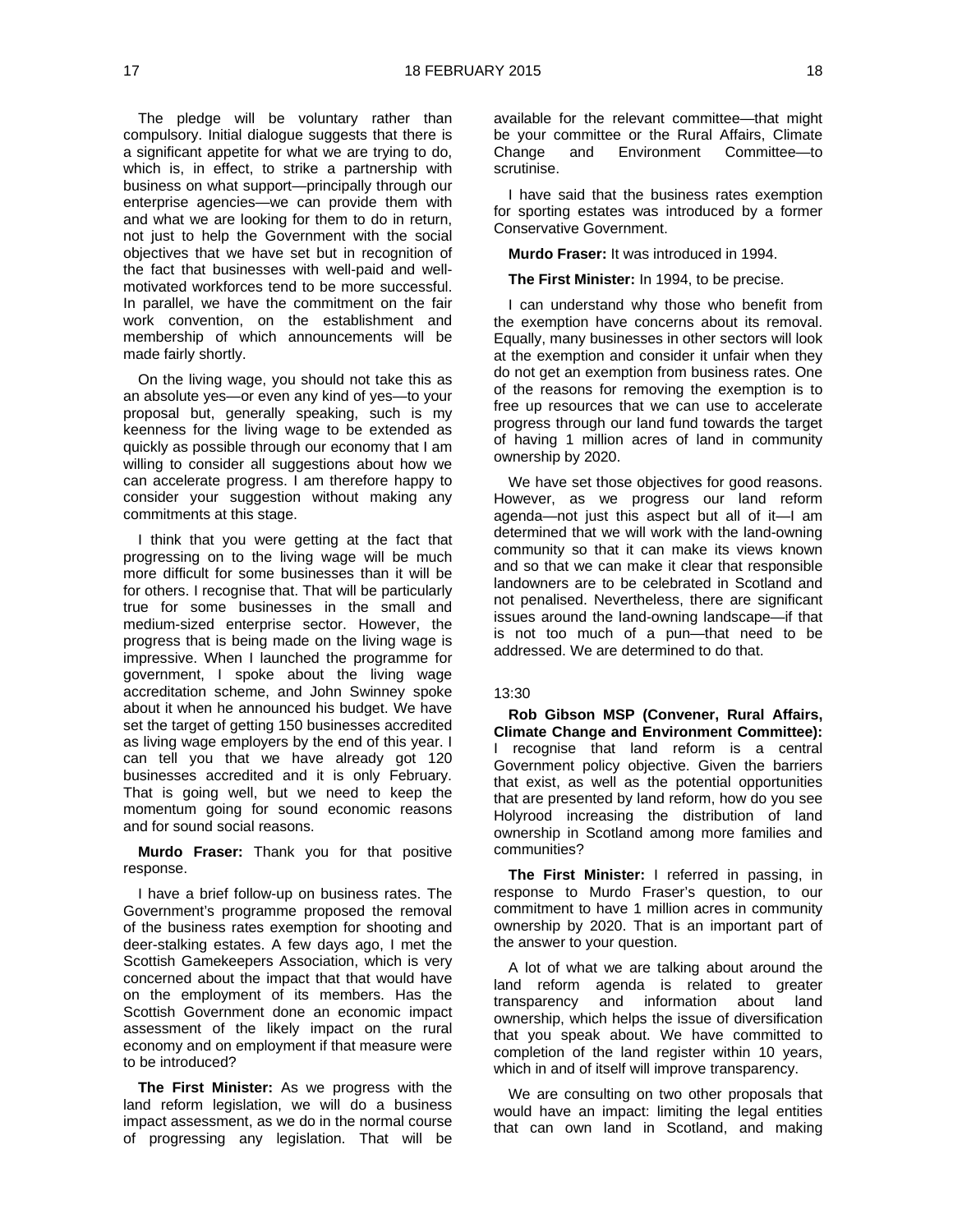The pledge will be voluntary rather than compulsory. Initial dialogue suggests that there is a significant appetite for what we are trying to do, which is, in effect, to strike a partnership with business on what support—principally through our enterprise agencies—we can provide them with and what we are looking for them to do in return, not just to help the Government with the social objectives that we have set but in recognition of the fact that businesses with well-paid and wellmotivated workforces tend to be more successful. In parallel, we have the commitment on the fair work convention, on the establishment and membership of which announcements will be made fairly shortly.

On the living wage, you should not take this as an absolute yes—or even any kind of yes—to your proposal but, generally speaking, such is my keenness for the living wage to be extended as quickly as possible through our economy that I am willing to consider all suggestions about how we can accelerate progress. I am therefore happy to consider your suggestion without making any commitments at this stage.

I think that you were getting at the fact that progressing on to the living wage will be much more difficult for some businesses than it will be for others. I recognise that. That will be particularly true for some businesses in the small and medium-sized enterprise sector. However, the progress that is being made on the living wage is impressive. When I launched the programme for government, I spoke about the living wage accreditation scheme, and John Swinney spoke about it when he announced his budget. We have set the target of getting 150 businesses accredited as living wage employers by the end of this year. I can tell you that we have already got 120 businesses accredited and it is only February. That is going well, but we need to keep the momentum going for sound economic reasons and for sound social reasons.

**Murdo Fraser:** Thank you for that positive response.

I have a brief follow-up on business rates. The Government's programme proposed the removal of the business rates exemption for shooting and deer-stalking estates. A few days ago, I met the Scottish Gamekeepers Association, which is very concerned about the impact that that would have on the employment of its members. Has the Scottish Government done an economic impact assessment of the likely impact on the rural economy and on employment if that measure were to be introduced?

**The First Minister:** As we progress with the land reform legislation, we will do a business impact assessment, as we do in the normal course of progressing any legislation. That will be

available for the relevant committee—that might be your committee or the Rural Affairs, Climate Change and Environment Committee—to scrutinise.

I have said that the business rates exemption for sporting estates was introduced by a former Conservative Government.

**Murdo Fraser:** It was introduced in 1994.

**The First Minister:** In 1994, to be precise.

I can understand why those who benefit from the exemption have concerns about its removal. Equally, many businesses in other sectors will look at the exemption and consider it unfair when they do not get an exemption from business rates. One of the reasons for removing the exemption is to free up resources that we can use to accelerate progress through our land fund towards the target of having 1 million acres of land in community ownership by 2020.

We have set those objectives for good reasons. However, as we progress our land reform agenda—not just this aspect but all of it—I am determined that we will work with the land-owning community so that it can make its views known and so that we can make it clear that responsible landowners are to be celebrated in Scotland and not penalised. Nevertheless, there are significant issues around the land-owning landscape—if that is not too much of a pun—that need to be addressed. We are determined to do that.

#### 13:30

**Rob Gibson MSP (Convener, Rural Affairs, Climate Change and Environment Committee):**  I recognise that land reform is a central Government policy objective. Given the barriers that exist, as well as the potential opportunities that are presented by land reform, how do you see Holyrood increasing the distribution of land ownership in Scotland among more families and communities?

**The First Minister:** I referred in passing, in response to Murdo Fraser's question, to our commitment to have 1 million acres in community ownership by 2020. That is an important part of the answer to your question.

A lot of what we are talking about around the land reform agenda is related to greater transparency and information about land ownership, which helps the issue of diversification that you speak about. We have committed to completion of the land register within 10 years, which in and of itself will improve transparency.

We are consulting on two other proposals that would have an impact: limiting the legal entities that can own land in Scotland, and making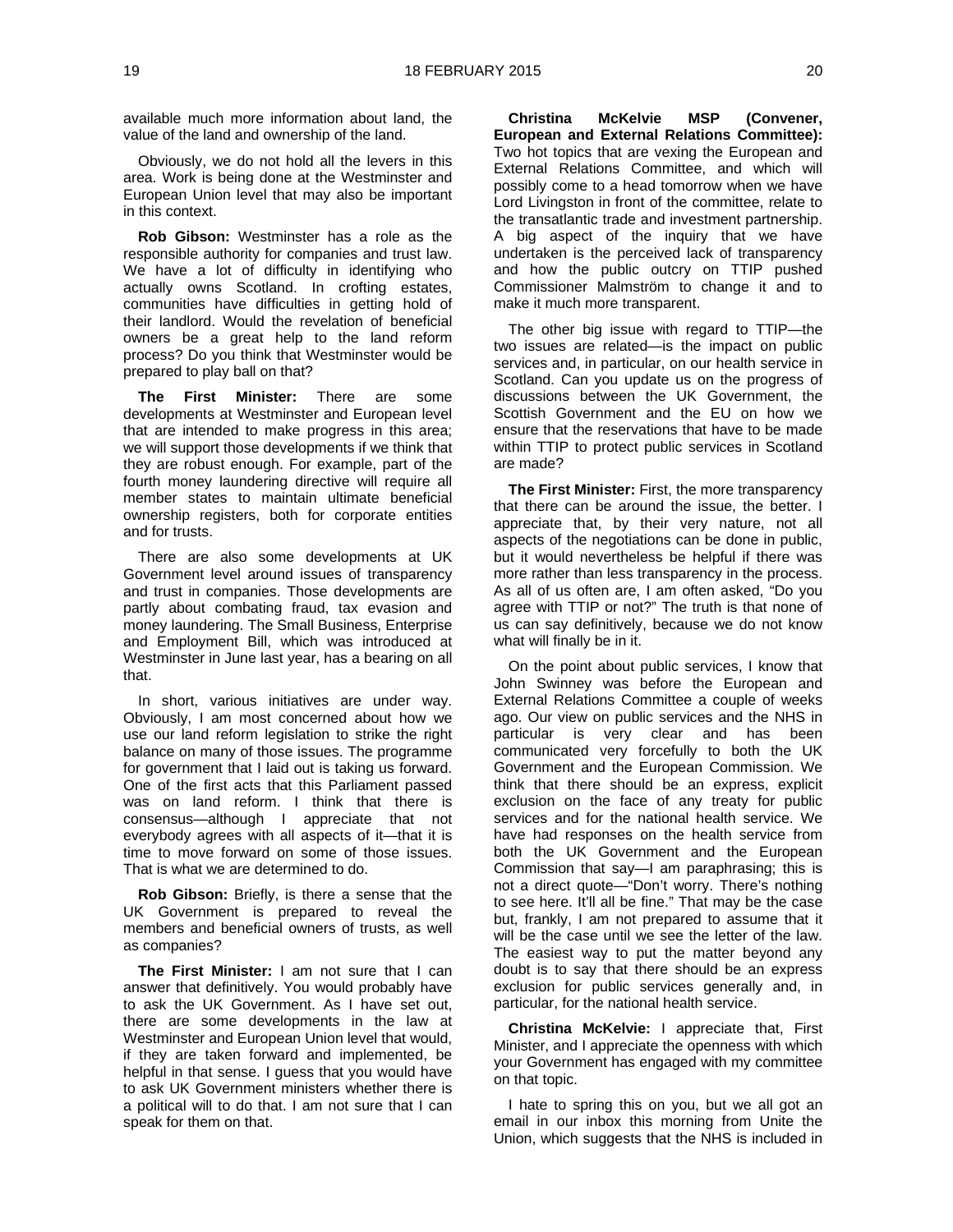available much more information about land, the value of the land and ownership of the land.

Obviously, we do not hold all the levers in this area. Work is being done at the Westminster and European Union level that may also be important in this context.

**Rob Gibson:** Westminster has a role as the responsible authority for companies and trust law. We have a lot of difficulty in identifying who actually owns Scotland. In crofting estates, communities have difficulties in getting hold of their landlord. Would the revelation of beneficial owners be a great help to the land reform process? Do you think that Westminster would be prepared to play ball on that?

**The First Minister:** There are some developments at Westminster and European level that are intended to make progress in this area; we will support those developments if we think that they are robust enough. For example, part of the fourth money laundering directive will require all member states to maintain ultimate beneficial ownership registers, both for corporate entities and for trusts.

There are also some developments at UK Government level around issues of transparency and trust in companies. Those developments are partly about combating fraud, tax evasion and money laundering. The Small Business, Enterprise and Employment Bill, which was introduced at Westminster in June last year, has a bearing on all that.

In short, various initiatives are under way. Obviously, I am most concerned about how we use our land reform legislation to strike the right balance on many of those issues. The programme for government that I laid out is taking us forward. One of the first acts that this Parliament passed was on land reform. I think that there is consensus—although I appreciate that not everybody agrees with all aspects of it—that it is time to move forward on some of those issues. That is what we are determined to do.

**Rob Gibson:** Briefly, is there a sense that the UK Government is prepared to reveal the members and beneficial owners of trusts, as well as companies?

**The First Minister:** I am not sure that I can answer that definitively. You would probably have to ask the UK Government. As I have set out, there are some developments in the law at Westminster and European Union level that would, if they are taken forward and implemented, be helpful in that sense. I quess that you would have to ask UK Government ministers whether there is a political will to do that. I am not sure that I can speak for them on that.

**Christina McKelvie MSP (Convener, European and External Relations Committee):**  Two hot topics that are vexing the European and External Relations Committee, and which will possibly come to a head tomorrow when we have Lord Livingston in front of the committee, relate to the transatlantic trade and investment partnership. A big aspect of the inquiry that we have undertaken is the perceived lack of transparency and how the public outcry on TTIP pushed Commissioner Malmström to change it and to make it much more transparent.

The other big issue with regard to TTIP—the two issues are related—is the impact on public services and, in particular, on our health service in Scotland. Can you update us on the progress of discussions between the UK Government, the Scottish Government and the EU on how we ensure that the reservations that have to be made within TTIP to protect public services in Scotland are made?

**The First Minister:** First, the more transparency that there can be around the issue, the better. I appreciate that, by their very nature, not all aspects of the negotiations can be done in public, but it would nevertheless be helpful if there was more rather than less transparency in the process. As all of us often are, I am often asked, "Do you agree with TTIP or not?" The truth is that none of us can say definitively, because we do not know what will finally be in it.

On the point about public services, I know that John Swinney was before the European and External Relations Committee a couple of weeks ago. Our view on public services and the NHS in particular is very clear and has been communicated very forcefully to both the UK Government and the European Commission. We think that there should be an express, explicit exclusion on the face of any treaty for public services and for the national health service. We have had responses on the health service from both the UK Government and the European Commission that say—I am paraphrasing; this is not a direct quote—"Don't worry. There's nothing to see here. It'll all be fine." That may be the case but, frankly, I am not prepared to assume that it will be the case until we see the letter of the law. The easiest way to put the matter beyond any doubt is to say that there should be an express exclusion for public services generally and, in particular, for the national health service.

**Christina McKelvie:** I appreciate that, First Minister, and I appreciate the openness with which your Government has engaged with my committee on that topic.

I hate to spring this on you, but we all got an email in our inbox this morning from Unite the Union, which suggests that the NHS is included in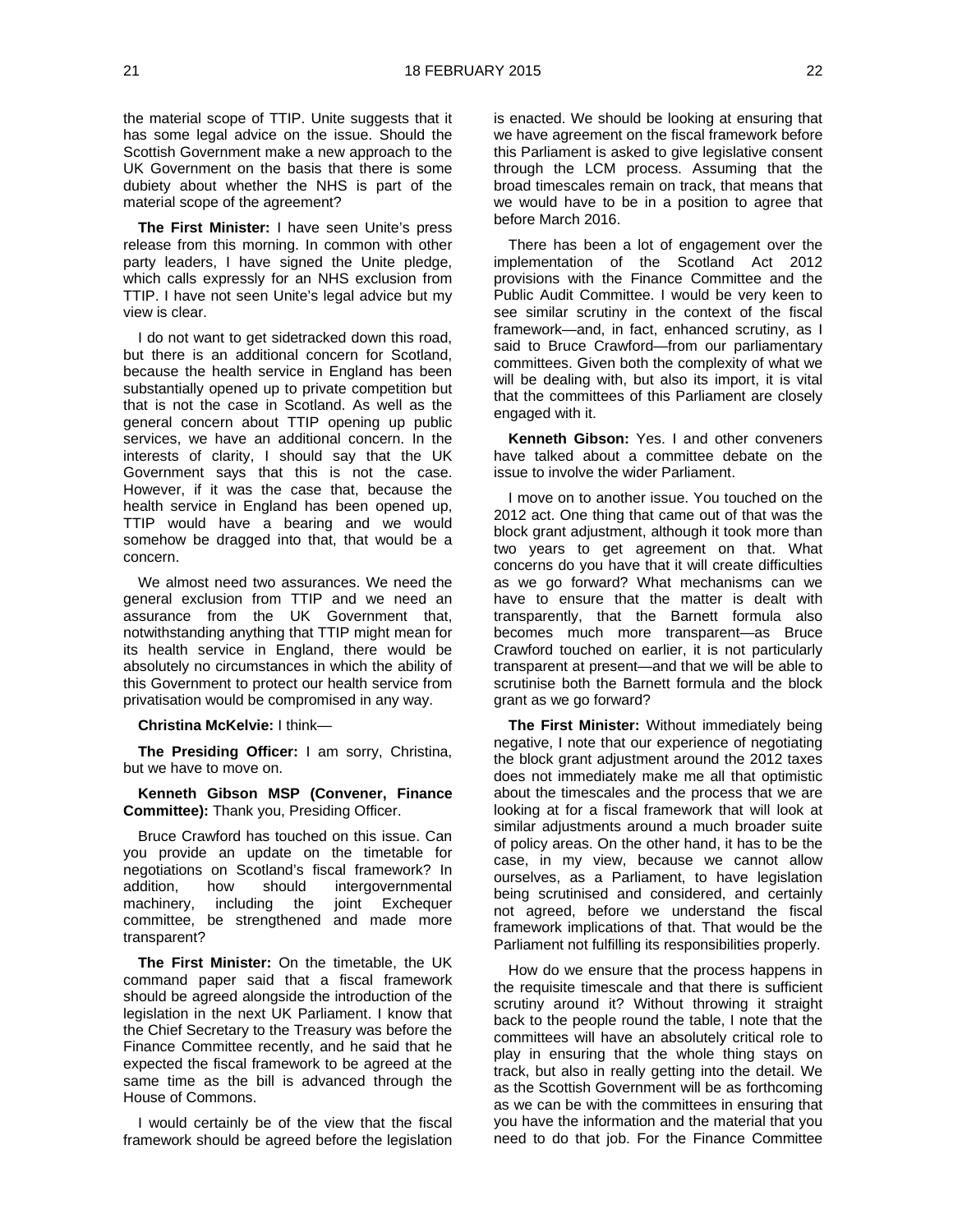the material scope of TTIP. Unite suggests that it has some legal advice on the issue. Should the Scottish Government make a new approach to the UK Government on the basis that there is some dubiety about whether the NHS is part of the material scope of the agreement?

**The First Minister:** I have seen Unite's press release from this morning. In common with other party leaders, I have signed the Unite pledge, which calls expressly for an NHS exclusion from TTIP. I have not seen Unite's legal advice but my view is clear.

I do not want to get sidetracked down this road, but there is an additional concern for Scotland, because the health service in England has been substantially opened up to private competition but that is not the case in Scotland. As well as the general concern about TTIP opening up public services, we have an additional concern. In the interests of clarity, I should say that the UK Government says that this is not the case. However, if it was the case that, because the health service in England has been opened up, TTIP would have a bearing and we would somehow be dragged into that, that would be a concern.

We almost need two assurances. We need the general exclusion from TTIP and we need an assurance from the UK Government that, notwithstanding anything that TTIP might mean for its health service in England, there would be absolutely no circumstances in which the ability of this Government to protect our health service from privatisation would be compromised in any way.

#### **Christina McKelvie:** I think—

**The Presiding Officer:** I am sorry, Christina, but we have to move on.

**Kenneth Gibson MSP (Convener, Finance Committee):** Thank you, Presiding Officer.

Bruce Crawford has touched on this issue. Can you provide an update on the timetable for negotiations on Scotland's fiscal framework? In addition, how should intergovernmental machinery, including the joint Exchequer committee, be strengthened and made more transparent?

**The First Minister:** On the timetable, the UK command paper said that a fiscal framework should be agreed alongside the introduction of the legislation in the next UK Parliament. I know that the Chief Secretary to the Treasury was before the Finance Committee recently, and he said that he expected the fiscal framework to be agreed at the same time as the bill is advanced through the House of Commons.

I would certainly be of the view that the fiscal framework should be agreed before the legislation

is enacted. We should be looking at ensuring that we have agreement on the fiscal framework before this Parliament is asked to give legislative consent through the LCM process. Assuming that the broad timescales remain on track, that means that we would have to be in a position to agree that before March 2016.

There has been a lot of engagement over the implementation of the Scotland Act 2012 provisions with the Finance Committee and the Public Audit Committee. I would be very keen to see similar scrutiny in the context of the fiscal framework—and, in fact, enhanced scrutiny, as I said to Bruce Crawford—from our parliamentary committees. Given both the complexity of what we will be dealing with, but also its import, it is vital that the committees of this Parliament are closely engaged with it.

**Kenneth Gibson:** Yes. I and other conveners have talked about a committee debate on the issue to involve the wider Parliament.

I move on to another issue. You touched on the 2012 act. One thing that came out of that was the block grant adjustment, although it took more than two years to get agreement on that. What concerns do you have that it will create difficulties as we go forward? What mechanisms can we have to ensure that the matter is dealt with transparently, that the Barnett formula also becomes much more transparent—as Bruce Crawford touched on earlier, it is not particularly transparent at present—and that we will be able to scrutinise both the Barnett formula and the block grant as we go forward?

**The First Minister:** Without immediately being negative, I note that our experience of negotiating the block grant adjustment around the 2012 taxes does not immediately make me all that optimistic about the timescales and the process that we are looking at for a fiscal framework that will look at similar adjustments around a much broader suite of policy areas. On the other hand, it has to be the case, in my view, because we cannot allow ourselves, as a Parliament, to have legislation being scrutinised and considered, and certainly not agreed, before we understand the fiscal framework implications of that. That would be the Parliament not fulfilling its responsibilities properly.

How do we ensure that the process happens in the requisite timescale and that there is sufficient scrutiny around it? Without throwing it straight back to the people round the table, I note that the committees will have an absolutely critical role to play in ensuring that the whole thing stays on track, but also in really getting into the detail. We as the Scottish Government will be as forthcoming as we can be with the committees in ensuring that you have the information and the material that you need to do that job. For the Finance Committee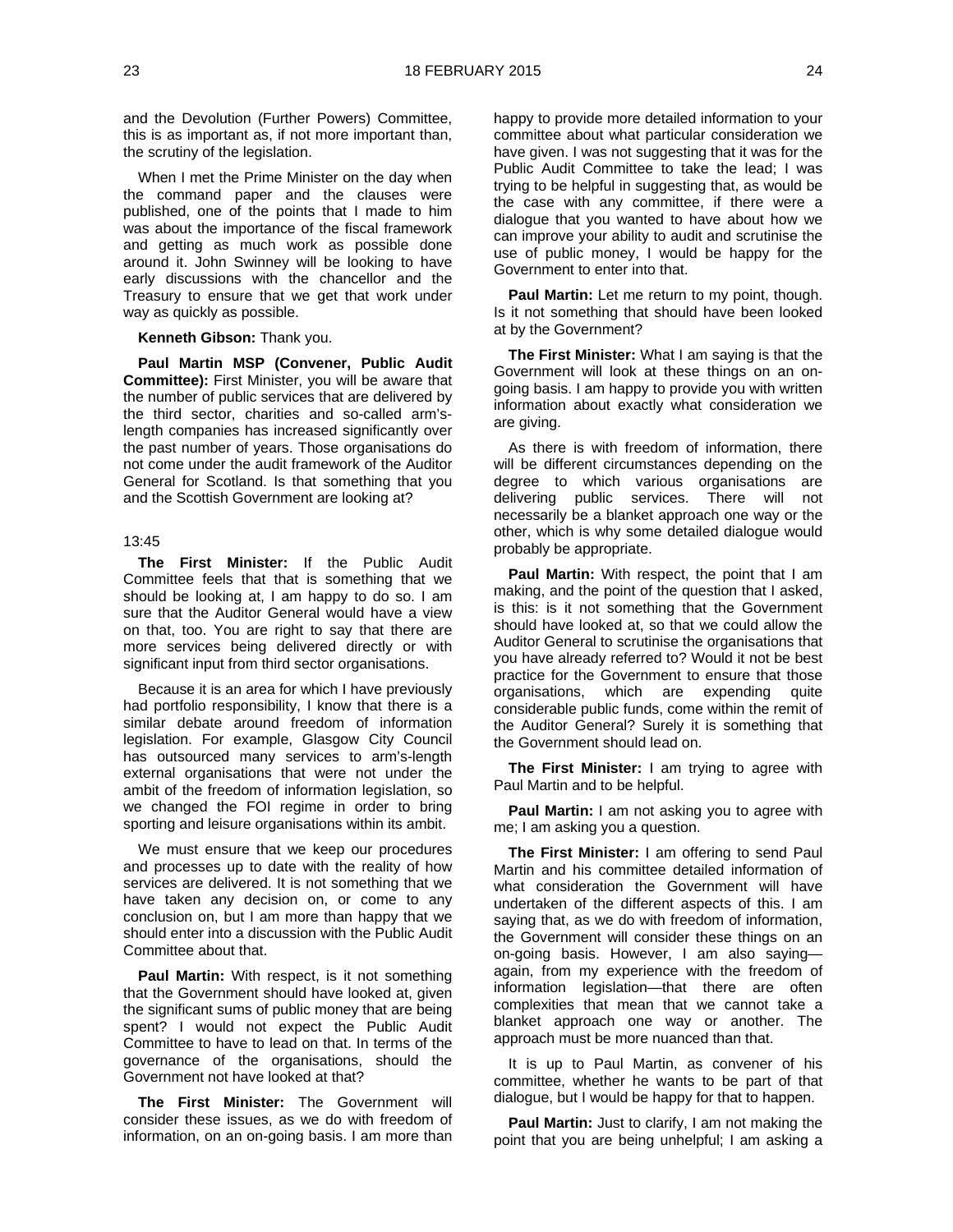and the Devolution (Further Powers) Committee, this is as important as, if not more important than, the scrutiny of the legislation.

When I met the Prime Minister on the day when the command paper and the clauses were published, one of the points that I made to him was about the importance of the fiscal framework and getting as much work as possible done around it. John Swinney will be looking to have early discussions with the chancellor and the Treasury to ensure that we get that work under way as quickly as possible.

#### **Kenneth Gibson:** Thank you.

**Paul Martin MSP (Convener, Public Audit Committee):** First Minister, you will be aware that the number of public services that are delivered by the third sector, charities and so-called arm'slength companies has increased significantly over the past number of years. Those organisations do not come under the audit framework of the Auditor General for Scotland. Is that something that you and the Scottish Government are looking at?

#### 13:45

**The First Minister:** If the Public Audit Committee feels that that is something that we should be looking at, I am happy to do so. I am sure that the Auditor General would have a view on that, too. You are right to say that there are more services being delivered directly or with significant input from third sector organisations.

Because it is an area for which I have previously had portfolio responsibility, I know that there is a similar debate around freedom of information legislation. For example, Glasgow City Council has outsourced many services to arm's-length external organisations that were not under the ambit of the freedom of information legislation, so we changed the FOI regime in order to bring sporting and leisure organisations within its ambit.

We must ensure that we keep our procedures and processes up to date with the reality of how services are delivered. It is not something that we have taken any decision on, or come to any conclusion on, but I am more than happy that we should enter into a discussion with the Public Audit Committee about that.

**Paul Martin:** With respect, is it not something that the Government should have looked at, given the significant sums of public money that are being spent? I would not expect the Public Audit Committee to have to lead on that. In terms of the governance of the organisations, should the Government not have looked at that?

**The First Minister:** The Government will consider these issues, as we do with freedom of information, on an on-going basis. I am more than happy to provide more detailed information to your committee about what particular consideration we have given. I was not suggesting that it was for the Public Audit Committee to take the lead; I was trying to be helpful in suggesting that, as would be the case with any committee, if there were a dialogue that you wanted to have about how we can improve your ability to audit and scrutinise the use of public money, I would be happy for the Government to enter into that.

**Paul Martin:** Let me return to my point, though. Is it not something that should have been looked at by the Government?

**The First Minister:** What I am saying is that the Government will look at these things on an ongoing basis. I am happy to provide you with written information about exactly what consideration we are giving.

As there is with freedom of information, there will be different circumstances depending on the degree to which various organisations are delivering public services. There will not necessarily be a blanket approach one way or the other, which is why some detailed dialogue would probably be appropriate.

**Paul Martin:** With respect, the point that I am making, and the point of the question that I asked, is this: is it not something that the Government should have looked at, so that we could allow the Auditor General to scrutinise the organisations that you have already referred to? Would it not be best practice for the Government to ensure that those organisations, which are expending quite considerable public funds, come within the remit of the Auditor General? Surely it is something that the Government should lead on.

**The First Minister:** I am trying to agree with Paul Martin and to be helpful.

**Paul Martin:** I am not asking you to agree with me; I am asking you a question.

**The First Minister:** I am offering to send Paul Martin and his committee detailed information of what consideration the Government will have undertaken of the different aspects of this. I am saying that, as we do with freedom of information, the Government will consider these things on an on-going basis. However, I am also saying again, from my experience with the freedom of information legislation—that there are often complexities that mean that we cannot take a blanket approach one way or another. The approach must be more nuanced than that.

It is up to Paul Martin, as convener of his committee, whether he wants to be part of that dialogue, but I would be happy for that to happen.

**Paul Martin:** Just to clarify, I am not making the point that you are being unhelpful; I am asking a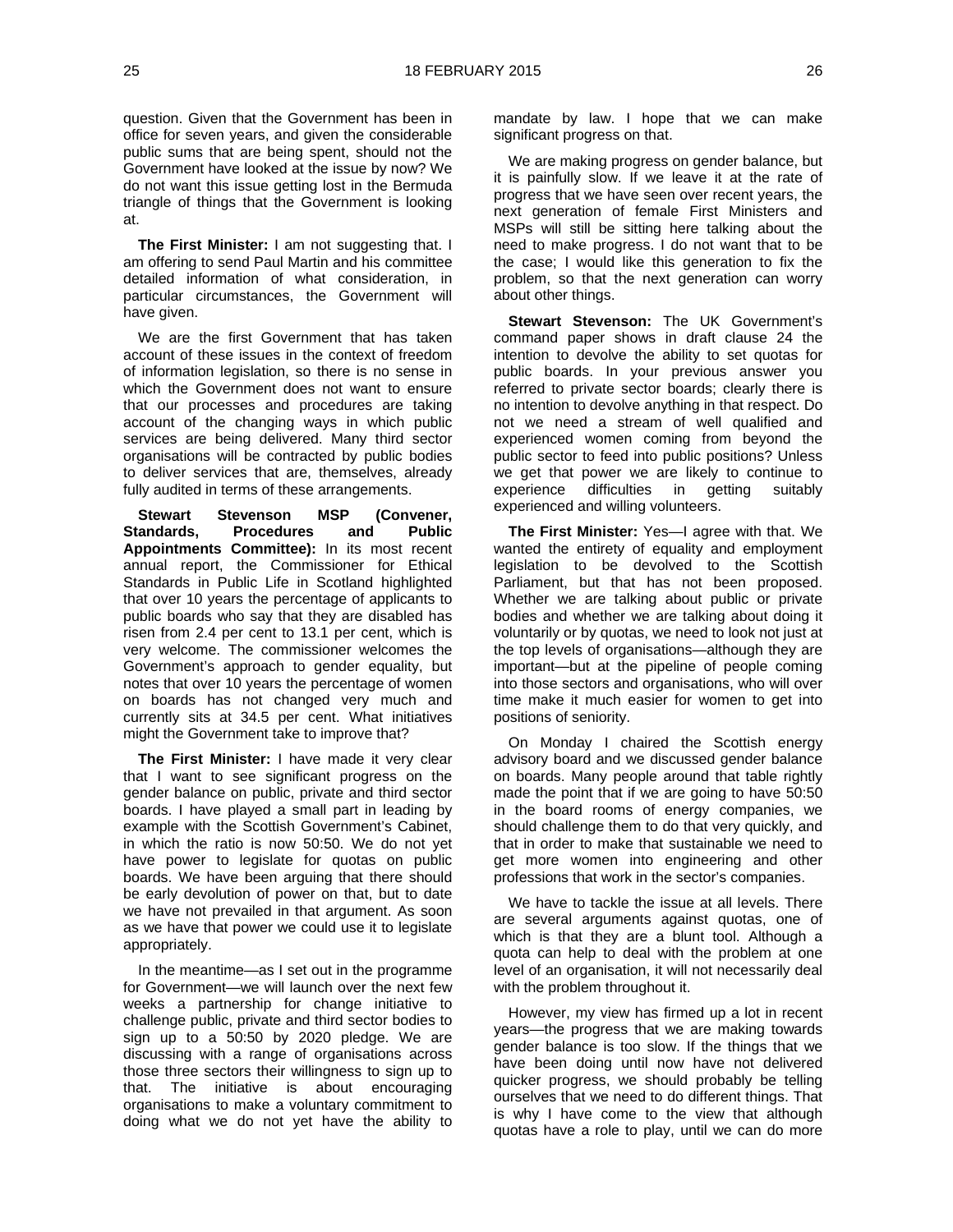question. Given that the Government has been in office for seven years, and given the considerable public sums that are being spent, should not the Government have looked at the issue by now? We do not want this issue getting lost in the Bermuda triangle of things that the Government is looking at.

**The First Minister:** I am not suggesting that. I am offering to send Paul Martin and his committee detailed information of what consideration, in particular circumstances, the Government will have given.

We are the first Government that has taken account of these issues in the context of freedom of information legislation, so there is no sense in which the Government does not want to ensure that our processes and procedures are taking account of the changing ways in which public services are being delivered. Many third sector organisations will be contracted by public bodies to deliver services that are, themselves, already fully audited in terms of these arrangements.

**Stewart Stevenson MSP (Convener, Standards, Procedures Appointments Committee):** In its most recent annual report, the Commissioner for Ethical Standards in Public Life in Scotland highlighted that over 10 years the percentage of applicants to public boards who say that they are disabled has risen from 2.4 per cent to 13.1 per cent, which is very welcome. The commissioner welcomes the Government's approach to gender equality, but notes that over 10 years the percentage of women on boards has not changed very much and currently sits at 34.5 per cent. What initiatives might the Government take to improve that?

**The First Minister:** I have made it very clear that I want to see significant progress on the gender balance on public, private and third sector boards. I have played a small part in leading by example with the Scottish Government's Cabinet, in which the ratio is now 50:50. We do not yet have power to legislate for quotas on public boards. We have been arguing that there should be early devolution of power on that, but to date we have not prevailed in that argument. As soon as we have that power we could use it to legislate appropriately.

In the meantime—as I set out in the programme for Government—we will launch over the next few weeks a partnership for change initiative to challenge public, private and third sector bodies to sign up to a 50:50 by 2020 pledge. We are discussing with a range of organisations across those three sectors their willingness to sign up to that. The initiative is about encouraging organisations to make a voluntary commitment to doing what we do not yet have the ability to

mandate by law. I hope that we can make significant progress on that.

We are making progress on gender balance, but it is painfully slow. If we leave it at the rate of progress that we have seen over recent years, the next generation of female First Ministers and MSPs will still be sitting here talking about the need to make progress. I do not want that to be the case; I would like this generation to fix the problem, so that the next generation can worry about other things.

**Stewart Stevenson:** The UK Government's command paper shows in draft clause 24 the intention to devolve the ability to set quotas for public boards. In your previous answer you referred to private sector boards; clearly there is no intention to devolve anything in that respect. Do not we need a stream of well qualified and experienced women coming from beyond the public sector to feed into public positions? Unless we get that power we are likely to continue to experience difficulties in getting suitably experienced and willing volunteers.

**The First Minister:** Yes—I agree with that. We wanted the entirety of equality and employment legislation to be devolved to the Scottish Parliament, but that has not been proposed. Whether we are talking about public or private bodies and whether we are talking about doing it voluntarily or by quotas, we need to look not just at the top levels of organisations—although they are important—but at the pipeline of people coming into those sectors and organisations, who will over time make it much easier for women to get into positions of seniority.

On Monday I chaired the Scottish energy advisory board and we discussed gender balance on boards. Many people around that table rightly made the point that if we are going to have 50:50 in the board rooms of energy companies, we should challenge them to do that very quickly, and that in order to make that sustainable we need to get more women into engineering and other professions that work in the sector's companies.

We have to tackle the issue at all levels. There are several arguments against quotas, one of which is that they are a blunt tool. Although a quota can help to deal with the problem at one level of an organisation, it will not necessarily deal with the problem throughout it.

However, my view has firmed up a lot in recent years—the progress that we are making towards gender balance is too slow. If the things that we have been doing until now have not delivered quicker progress, we should probably be telling ourselves that we need to do different things. That is why I have come to the view that although quotas have a role to play, until we can do more